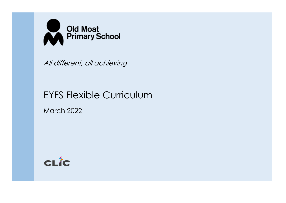

All different, all achieving

# EYFS Flexible Curriculum

March 2022

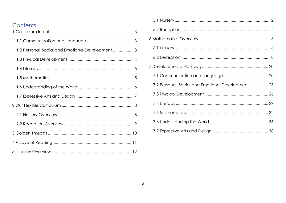| Contents<br>3                                     |  |
|---------------------------------------------------|--|
|                                                   |  |
|                                                   |  |
| 1.2 Personal, Social and Emotional Development  3 |  |
|                                                   |  |
|                                                   |  |
|                                                   |  |
|                                                   |  |
|                                                   |  |
|                                                   |  |
|                                                   |  |
|                                                   |  |
|                                                   |  |
|                                                   |  |
|                                                   |  |

| 7.2 Personal, Social and Emotional Development 23 |  |
|---------------------------------------------------|--|
|                                                   |  |
|                                                   |  |
|                                                   |  |
|                                                   |  |
|                                                   |  |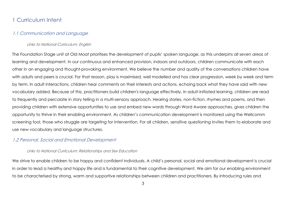# <span id="page-2-0"></span>1 Curriculum Intent

### <span id="page-2-1"></span>1.1 Communication and Language

### Links to National Curriculum: English

The Foundation Stage unit at Old Moat prioritises the development of pupils' spoken language, as this underpins all seven areas of learning and development. In our continuous and enhanced provision, indoors and outdoors, children communicate with each other in an engaging and thought-provoking environment. We believe the number and quality of the conversations children have with adults and peers is crucial. For that reason, play is maximised, well modelled and has clear progression, week by week and term by term. In adult interactions, children hear comments on their interests and actions, echoing back what they have said with new vocabulary added. Because of this, practitioners build children's language effectively. In adult-initiated learning, children are read to frequently and percolate in story telling in a multi-sensory approach. Hearing stories, non-fiction, rhymes and poems, and then providing children with extensive opportunities to use and embed new words through Word Aware approaches, gives children the opportunity to thrive in their enabling environment. As children's communication development is monitored using the Wellcomm screening tool, those who struggle are targeting for intervention. For all children, sensitive questioning invites them to elaborate and use new vocabulary and language structures.

# <span id="page-2-2"></span>1.2 Personal, Social and Emotional Development

### Links to National Curriculum: Relationships and Sex Education

We strive to enable children to be happy and confident individuals. A child's personal, social and emotional development is crucial in order to lead a healthy and happy life and is fundamental to their cognitive development. We aim for our enabling environment to be characterised by strong, warm and supportive relationships between children and practitioners. By introducing rules and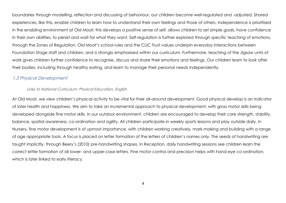boundaries through modelling, reflection and discussing of behaviour, our children become well-regulated and -adjusted. Shared experiences, like this, enable children to learn how to understand their own feelings and those of others. Independence is prioritised in the enabling environment at Old Moat: this develops a positive sense of self, allows children to set simple goals, have confidence in their own abilities, to persist and wait for what they want. Self-regulation is further explored through specific teaching of emotions, through the Zones of Regulation. Old Moat's school rules and the CLIC Trust values underpin everyday interactions between Foundation Stage staff and children, and is strongly emphasised within our curriculum. Furthermore, teaching of the Jigsaw units of work gives children further confidence to recognise, discuss and share their emotions and feelings. Our children learn to look after their bodies, including through healthy eating, and learn to manage their personal needs independently.

# <span id="page-3-0"></span>1.3 Physical Development

# Links to National Curriculum: Physical Education, English

At Old Moat, we view children's physical activity to be vital for their all-around development. Good physical develop is an indicator of later health and happiness. We aim to take an incremental approach to physical development, with gross motor skills being developed alongside fine motor skills. In our outdoor environment, children are encouraged to develop their core strength, stability, balance, spatial awareness, co-ordination and agility. All children participate in weekly sports lessons and play outside daily. In Nursery, fine motor development is of upmost importance, with children working creatively, mark-making and building with a range of age appropriate tools. A focus is placed on letter formation of the letters of children's names only. The seeds of handwriting are taught implicitly, through Beery's (2010) pre-handwriting shapes. In Reception, daily handwriting sessions see children learn the correct letter formation of all lower- and upper-case letters. Fine motor control and precision helps with hand-eye co-ordination, which is later linked to early literacy.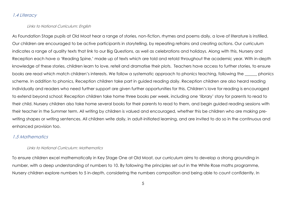## <span id="page-4-0"></span>1.4 Literacy

### Links to National Curriculum: English

As Foundation Stage pupils at Old Moat hear a range of stories, non-fiction, rhymes and poems daily, a love of literature is instilled. Our children are encouraged to be active participants in storytelling, by repeating refrains and creating actions. Our curriculum indicates a range of quality texts that link to our Big Questions, as well as celebrations and holidays. Along with this, Nursery and Reception each have a 'Reading Spine,' made up of texts which are told and retold throughout the academic year. With in-depth knowledge of these stories, children learn to love, retell and dramatise their plots. Teachers have access to further stories, to ensure books are read which match children's interests. We follow a systematic approach to phonics teaching, following the \_\_\_\_\_\_ phonics scheme. In addition to phonics, Reception children take part in guided reading daily. Reception children are also heard reading individually and readers who need further support are given further opportunities for this. Children's love for reading is encouraged to extend beyond school: Reception children take home three books per week, including one 'library' story for parents to read to their child. Nursery children also take home several books for their parents to read to them, and begin guided reading sessions with their teacher in the Summer term. All writing by children is valued and encouraged, whether this be children who are making prewriting shapes or writing sentences. All children write daily, in adult-initiated learning, and are invited to do so in the continuous and enhanced provision too.

### <span id="page-4-1"></span>1.5 Mathematics

### Links to National Curriculum: Mathematics

To ensure children excel mathematically in Key Stage One at Old Moat, our curriculum aims to develop a strong grounding in number, with a deep understanding of numbers to 10. By following the principles set out in the White Rose maths programme, Nursery children explore numbers to 5 in-depth, considering the numbers composition and being able to count confidently. In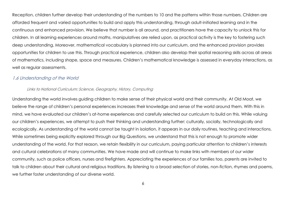Reception, children further develop their understanding of the numbers to 10 and the patterns within those numbers. Children are afforded frequent and varied opportunities to build and apply this understanding, through adult-initiated learning and in the continuous and enhanced provision. We believe that number is all around, and practitioners have the capacity to unlock this for children. In all learning experiences around maths, manipulatives are relied upon, as practical activity is the key to fostering such deep understanding. Moreover, mathematical vocabulary is planned into our curriculum, and the enhanced provision provides opportunities for children to use this. Through practical experience, children also develop their spatial reasoning skills across all areas of mathematics, including shape, space and measures. Children's mathematical knowledge is assessed in everyday interactions, as well as regular assessments.

### <span id="page-5-0"></span>1.6 Understanding of the World

### Links to National Curriculum: Science, Geography, History, Computing

Understanding the world involves guiding children to make sense of their physical world and their community. At Old Moat, we believe the range of children's personal experiences increases their knowledge and sense of the world around them. With this in mind, we have evaluated our children's at-home experiences and carefully selected our curriculum to build on this. While valuing our children's experiences, we attempt to push their thinking and understanding further: culturally, socially, technologically and ecologically. As understanding of the world cannot be taught in isolation, it appears in our daily routines, teaching and interactions. While sometimes being explicitly explored through our Big Questions, we understand that this is not enough to promote wider understanding of the world. For that reason, we retain flexibility in our curriculum, paying particular attention to children's interests and cultural celebrations of many communities. We have made and will continue to make links with members of our wider community, such as police officers, nurses and firefighters. Appreciating the experiences of our families too, parents are invited to talk to children about their cultural and religious traditions. By listening to a broad selection of stories, non-fiction, rhymes and poems, we further foster understanding of our diverse world.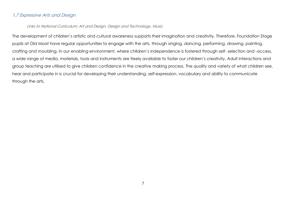# <span id="page-6-0"></span>1.7 Expressive Arts and Design

### Links to National Curriculum: Art and Design, Design and Technology, Music

The development of children's artistic and cultural awareness supports their imagination and creativity. Therefore, Foundation Stage pupils at Old Moat have regular opportunities to engage with the arts, through singing, dancing, performing, drawing, painting, crafting and moulding. In our enabling environment, where children's independence is fostered through self- selection and -access, a wide range of media, materials, tools and instruments are freely available to foster our children's creativity. Adult interactions and group teaching are utilised to give children confidence in the creative making process. The quality and variety of what children see, hear and participate in is crucial for developing their understanding, self-expression, vocabulary and ability to communicate through the arts.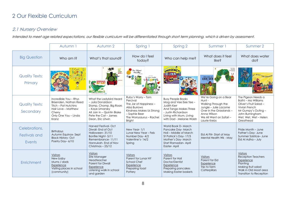# <span id="page-7-0"></span>2 Our Flexible Curriculum

# <span id="page-7-1"></span>2.1 Nursery Overview

Intended to meet age related expectations, our flexible curriculum will be differentiated through short term planning, which is driven by assessment.

|                                          | Autumn 1                                                                                                                                  | Autumn 2                                                                                                                                                              | Spring 1                                                                                                                                                            | Spring 2                                                                                                                                                                | Summer 1                                                                                                                                                             | Summer 2                                                                                                                                                           |
|------------------------------------------|-------------------------------------------------------------------------------------------------------------------------------------------|-----------------------------------------------------------------------------------------------------------------------------------------------------------------------|---------------------------------------------------------------------------------------------------------------------------------------------------------------------|-------------------------------------------------------------------------------------------------------------------------------------------------------------------------|----------------------------------------------------------------------------------------------------------------------------------------------------------------------|--------------------------------------------------------------------------------------------------------------------------------------------------------------------|
| <b>Big Question</b>                      | Who am I?                                                                                                                                 | What's that sound?                                                                                                                                                    | How do I feel<br>today?                                                                                                                                             | Who can help me?                                                                                                                                                        | What does it feel<br>like?                                                                                                                                           | What does water<br>do?                                                                                                                                             |
| <b>Quality Texts:</b><br>Primary         |                                                                                                                                           | the<br>train                                                                                                                                                          | he Colour                                                                                                                                                           | EMERGENCY                                                                                                                                                               | LION HUI                                                                                                                                                             | THIS SUMMER                                                                                                                                                        |
| <b>Quality Texts:</b><br>Secondary       | Incredible You - Rhys<br>Brisenden, Nathan Reed<br>Titch - Pat Hutchins<br>Hair Love - Matthew<br>Cherry<br>Only One You - Linda<br>Kranz | What the Ladybird Heard<br>- Julia Donaldson<br>Stomp, Chomp, Big Roars<br>- Kaye Umansky<br>All Join In - Quintin Blake<br>Pete the Cat - James<br>Dean, Eric Litwin | Ruby's Worry - Tom<br>Percival<br>The Jar of Happiness -<br>Ailsa Burrows<br>Kindness Makes Us Strong<br>- Sophie Beer<br>The Worrysaurus - Rachel<br><b>Bright</b> | <b>Busy People Books</b><br>Mog and Vee Eee Tee -<br>Judith Kerr<br>And Tango Makes Three<br>- Justin Richardson<br>Living with Mum, Living<br>with Dad - Melanie Walsh | We're Going on a Bear<br>Hunt-<br>Walking Through the<br>Jungle - Julie Lacome<br>Over in the Grasslands -<br>Anna Wilson<br>We All Went on Safari -<br>Laurie Krebs | The Pigeon Needs a<br>Bath! - Mo Williams<br>Oliver's Fruit Salad -<br>Vivian French<br>Mr Gumpy's Outing -<br>John Burningham<br>Wet, Wet, Wet-Helen<br>Greathead |
| Celebrations,<br>Festivals and<br>Events | <b>Birthdays</b><br>Autumn Equinox-Sept<br><b>Black History- Oct</b><br>Poetry Day-6/10                                                   | Harvest Festival-Oct<br>Diwali- End of Oct<br>Halloween-31/10<br>Bonfire Night- 5/11<br>Remembrance-11/11<br>Hannukah-End of Nov<br>Christmas - 25/12                 | New Year-1/1<br>Lunar New Year - Feb<br>Number Day-4/2<br>Valentine's-14/2<br>Spring                                                                                | World Book D-March<br>Pancake Day-March<br>Holi - Middle of March<br>St Patrick's Day-17/3<br>Mother's Day-March<br>Start Ramadan-April<br>Easter-April                 | Eid Al Fitr-Start of May<br>Mental Health Wk - May                                                                                                                   | Pride Month - June<br>Father's Day- June<br>Summer Solstice- June<br>Eid Al Adha - July                                                                            |
| Enrichment                               | <b>Visitors</b><br>New baby<br>Mums / dads<br>Experience<br>Visiting places in school<br>(community)                                      | <b>Visitors</b><br>Site Manager<br>Headteacher<br>Parent for Diwali<br>Experience<br>Listening walk in school<br>and garden                                           | <b>Visitors</b><br>Parent for Lunar NY<br>School Chef<br>Experience<br>Preparing toast<br>Pottery                                                                   | <b>Visitors</b><br>Parent for Holi<br>Doctor/Dentist<br>Experience<br>Preparing pancakes<br><b>Making Easter baskets</b>                                                | <b>Visitors</b><br>Parent for Eid<br>Experience<br>Trip to farm<br>Catterpillars                                                                                     | <b>Visitors</b><br><b>Reception Teachers</b><br>Experience<br>Planting<br>Making fruit salad<br>Walk in Old Moat area<br><b>Transition to Reception</b>            |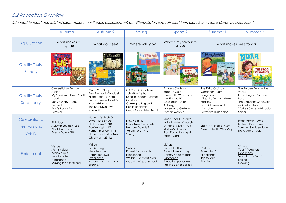# <span id="page-8-0"></span>2.2 Reception Overview

Intended to meet age related expectations, our flexible curriculum will be differentiated through short term planning, which is driven by assessment.

|                                          | Autumn 1                                                                                                                                   | Autumn 2                                                                                                                                                     | Spring                                                                                                                                                 | Spring 2                                                                                                                                                                | Summer 1                                                                                                                                    | Summer 2                                                                                                                                                |
|------------------------------------------|--------------------------------------------------------------------------------------------------------------------------------------------|--------------------------------------------------------------------------------------------------------------------------------------------------------------|--------------------------------------------------------------------------------------------------------------------------------------------------------|-------------------------------------------------------------------------------------------------------------------------------------------------------------------------|---------------------------------------------------------------------------------------------------------------------------------------------|---------------------------------------------------------------------------------------------------------------------------------------------------------|
| <b>Big Question</b>                      | What makes a<br>friend?                                                                                                                    | What do I see?                                                                                                                                               | Where will I go?                                                                                                                                       | What is my favourite<br>story?                                                                                                                                          |                                                                                                                                             | What makes me strong?                                                                                                                                   |
| <b>Quality Texts:</b><br>Primary         |                                                                                                                                            | OWL BABIES                                                                                                                                                   | The Train Ride<br>tephen Laml                                                                                                                          | Q Ladybird First Favourite Tale                                                                                                                                         | <i>(Wiver's /egetables</i><br>Avel Scheffler<br>A Squash Squeeze                                                                            | <b>THE FROG</b>                                                                                                                                         |
| <b>Quality Texts:</b><br>Secondary       | Cleversticks - Bernard<br>Ashley<br>My Shadow is Pink - Scott<br>Stuart<br>Ruby's Worry - Tom<br>Percival<br>Ravi's Roar - Tom<br>Percival | Can't You Sleep, Little<br>Bear? - Martin Waddell<br>Night Light - J Dutro<br>Funnybones - Janet &<br>Allen Ahlberg<br>The Best Diwall Ever -<br>Ronali Shah | Oi! Get Off Our Train -<br>John Burningham<br>Katie in London - James<br>Mayhew<br>Coming to England -<br>Floella Benjamin<br>Meg's Car - Helen Nicoll | Princess Cinders -<br><b>Babette Cole</b><br>Three Little Wolves and<br>the Big Bad Pig<br>Goldilocks - Allan<br>Ahlbera<br>Hansel and Gretel-<br><b>Bethan Woolvin</b> | The Extra Ordinary<br>Gardener-Sam<br>Boughton<br>Gigantic Turnip - Niamh<br>Sharkey<br>Farm Chase - Rod<br>Campbell<br>Farmyard Hullabaloo | The Burbee Bears - Joe<br>Wicks<br>I am Hungry - Michael<br>Rosen<br>The Disgusting Sandwich<br>- Gareth Edwards<br>Wolfie's Secret - Niccala<br>Senior |
| Celebrations,<br>Festivals and<br>Events | <b>Birthdays</b><br>Autumn Equinox-Sept<br><b>Black History- Oct</b><br>Poetry Day-6/10                                                    | Harvest Festival-Oct<br>Diwali- End of Oct<br>Halloween-31/10<br>Bonfire Night- 5/11<br>Remembrance-11/11<br>Hannukah-End of Nov<br>Christmas - 25/12        | New Year-1/1<br>Lunar New Yea - Feb<br>Number Day- 4/2<br>Valentine's-14/2<br>Spring                                                                   | World Book D- March<br>Holi - Middle of March<br>St Patrick's Day-17/3<br>Mother's Day-March<br>Start Ramadan-April<br>Easter-April                                     | Eid Al Fitr-Start of May<br>Mental Health Wk - May                                                                                          | Pride Month - June<br>Father's Day- June<br>Summer Solstice- June<br>Eid Al Adha - July                                                                 |
| Enrichment                               | <b>Visitors</b><br>Mums / dads<br>Year 6 pupils<br>Headteacher<br>Experience<br>Making food for friend                                     | Visitors<br>Site Manager<br>Headteacher<br><b>Parent for Diwali</b><br>Experience<br>Autumn walk in school<br>grounds                                        | <b>Visitors</b><br>Parent for Lunar NY<br>Experience<br>Walk in Old Moat area<br>Map drawing of school                                                 | Visitors<br>Parent for Holi<br>Parent to read story<br>Deputy head to read<br>Experience<br>Preparing pancakes<br><b>Making Easter baskets</b>                          | <b>Visitors</b><br>Parent for Eid<br>Experience<br>Trip to farm<br>Planting                                                                 | <b>Visitors</b><br>Year 1 Teachers<br>Experience<br>Transition to Year 1<br><b>Baking</b><br>Cooking                                                    |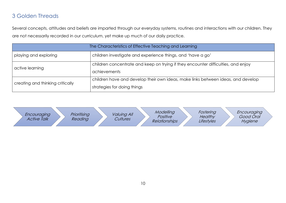# <span id="page-9-0"></span>3 Golden Threads

Several concepts, attitudes and beliefs are imparted through our everyday systems, routines and interactions with our children. They are not necessarily recorded in our curriculum, yet make up much of our daily practice.

| The Characteristics of Effective Teaching and Learning |                                                                                                                 |  |  |  |
|--------------------------------------------------------|-----------------------------------------------------------------------------------------------------------------|--|--|--|
| playing and exploring                                  | children investigate and experience things, and 'have a go'                                                     |  |  |  |
| active learning                                        | children concentrate and keep on trying if they encounter difficulties, and enjoy<br><i>achievements</i>        |  |  |  |
| creating and thinking critically                       | children have and develop their own ideas, make links between ideas, and develop<br>strategies for doing things |  |  |  |

| Prioritising<br><i>Valuing All</i><br>Encouraging<br><b>Active Talk</b><br>Cultures<br>Reading | Modelling<br>Positive<br><b>Relationships</b> | Fostering<br><b>Healthy</b><br>Lifestyles | Encouraging<br>Good Oral<br>Hygiene |
|------------------------------------------------------------------------------------------------|-----------------------------------------------|-------------------------------------------|-------------------------------------|
|------------------------------------------------------------------------------------------------|-----------------------------------------------|-------------------------------------------|-------------------------------------|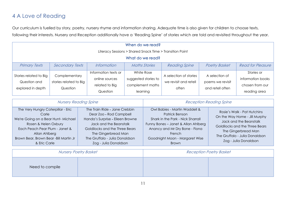# <span id="page-10-0"></span>4 A Love of Reading

Our curriculum is fuelled by story, poetry, nursery rhyme and information sharing. Adequate time is also given for children to choose texts, following their interests. Nursery and Reception additionally have a 'Reading Spine' of stories which are told and revisited throughout the year.

| When do we read?                                            |                                                     |                                                                      |                                                                    |                                                          |                                                        |                                                                    |  |  |
|-------------------------------------------------------------|-----------------------------------------------------|----------------------------------------------------------------------|--------------------------------------------------------------------|----------------------------------------------------------|--------------------------------------------------------|--------------------------------------------------------------------|--|--|
| Literacy Sessions > Shared Snack Time > Transition Point    |                                                     |                                                                      |                                                                    |                                                          |                                                        |                                                                    |  |  |
| What do we read?                                            |                                                     |                                                                      |                                                                    |                                                          |                                                        |                                                                    |  |  |
| <b>Primary Texts</b>                                        | <b>Secondary Texts</b>                              | <i>Information</i>                                                   | <b>Maths Stories</b>                                               | <b>Reading Spine</b>                                     | <b>Poetry Basket</b>                                   | <b>Read for Pleasure</b>                                           |  |  |
| Stories related to Big<br>Question and<br>explored in depth | Complementary<br>stories related to Big<br>Question | Information texts or<br>online sources<br>related to Big<br>Question | White Rose<br>suggested stories to<br>complement maths<br>learning | A selection of stories<br>we revisit and retell<br>often | A selection of<br>poems we revisit<br>and retell often | Stories or<br>information books<br>chosen from our<br>reading area |  |  |

| <b>Nursery Reading Spine</b>                                                                                                                                                                                            |                                                                                                                                                                                                                                            | <b>Reception Reading Spine</b>                                                                                                                                                                                            |                                                                                                                                                                                                            |  |  |
|-------------------------------------------------------------------------------------------------------------------------------------------------------------------------------------------------------------------------|--------------------------------------------------------------------------------------------------------------------------------------------------------------------------------------------------------------------------------------------|---------------------------------------------------------------------------------------------------------------------------------------------------------------------------------------------------------------------------|------------------------------------------------------------------------------------------------------------------------------------------------------------------------------------------------------------|--|--|
| The Very Hungry Caterpillar - Eric<br>Carle<br>We're Going on a Bear Hunt-Michael<br>Rosen & Helen Oxbury<br>Each Peach Pear Plum - Janet &<br>Allan Ahlberg<br>Brown Bear, Brown Bear - Bill Martin Jr<br>& Eric Carle | The Train Ride - Jane Crebbin<br>Dear Zoo - Rod Campbell<br>Handa's Surprise - Eileen Browne<br>Jack and the Beanstalk<br>Goldilocks and the Three Bears<br>The Gingerbread Man<br>The Gruffalo - Julia Donaldson<br>Zog - Julia Donaldson | Owl Babies - Martin Waddell &<br>Patrick Benson<br>Shark in the Park - Nick Sharrall<br>Funny Bones - Janet & Allan Ahlberg<br>Anancy and Mr Dry Bone - Fiona<br>French<br>Goodnight Moon - Margaret Wise<br><b>Brown</b> | Rosie's Walk - Pat Hutchins<br>On the Way Home - Jill Murphy<br>Jack and the Beanstalk<br>Goldilocks and the Three Bears<br>The Gingerbread Man<br>The Gruffalo - Julia Donaldson<br>Zog - Julia Donaldson |  |  |

|                 | <b>Nursery Poetry Basket</b> | <b>Reception Poetry Basket</b> |
|-----------------|------------------------------|--------------------------------|
| Need to compile |                              |                                |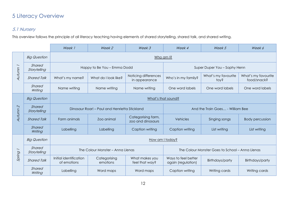# <span id="page-11-0"></span>5 Literacy Overview

# <span id="page-11-1"></span>5.1 Nursery

This overview follows the principle of all literacy teaching having elements of shared storytelling, shared talk, and shared writing.

|                          |                        | Week 1                                        | Week 2                      | Week 3                                  | Week 4                                          | Week 5                      | Week 6                             |  |  |  |
|--------------------------|------------------------|-----------------------------------------------|-----------------------------|-----------------------------------------|-------------------------------------------------|-----------------------------|------------------------------------|--|--|--|
|                          | <b>Big Question</b>    |                                               | Who am I?                   |                                         |                                                 |                             |                                    |  |  |  |
|                          | Shared<br>Storytelling |                                               | Happy to Be You - Emma Dodd |                                         | Super Duper You - Sophy Henn                    |                             |                                    |  |  |  |
| Autumn                   | <b>Shared Talk</b>     | What's my name?                               | What do I look like?        | Noticing differences<br>in appearance   | Who's in my family?                             | What's my favourite<br>toy? | What's my favourite<br>food/snack? |  |  |  |
|                          | Shared<br>Writing      | Name writing                                  | Name writing                | Name writing                            | One word labels                                 | One word labels             | One word labels                    |  |  |  |
|                          | <b>Big Question</b>    |                                               | What's that sound?          |                                         |                                                 |                             |                                    |  |  |  |
| $\mathcal{L}$            | Shared<br>Storytelling | Dinosaur Roar! – Paul and Henrietta Stickland |                             |                                         | And the Train Goes - William Bee                |                             |                                    |  |  |  |
| Autunn                   | <b>Shared Talk</b>     | Farm animals                                  | Zoo animal                  | Categorising farm,<br>zoo and dinosaurs | Vehicles                                        | Singing songs               | <b>Body percussion</b>             |  |  |  |
|                          | Shared<br>Writing      | Labelling                                     | Labelling                   | Caption writing                         | Caption writing                                 | List writing                | List writing                       |  |  |  |
|                          | <b>Big Question</b>    | How am I today?                               |                             |                                         |                                                 |                             |                                    |  |  |  |
| $\overline{\phantom{0}}$ | Shared<br>Storytelling | The Colour Monster - Anna Llenas              |                             |                                         | The Colour Monster Goes to School - Anna Llenas |                             |                                    |  |  |  |
| Spring                   | <b>Shared Talk</b>     | Initial identification<br>of emotions         | Categorising<br>emotions    | What makes you<br>feel that way?        | Ways to feel better<br>again (regulation)       | Birthdays/party             | Birthdays/party                    |  |  |  |
|                          | Shared<br>Writing      | Labelling                                     | Word maps                   | Word maps                               | Caption writing                                 | Writing cards               | Writing cards                      |  |  |  |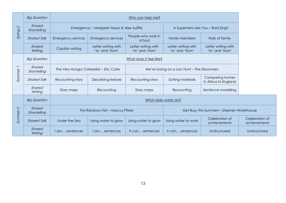|                     | <b>Big Question</b>    |                                          | Who can help me?                          |                                            |                                        |                                            |  |  |
|---------------------|------------------------|------------------------------------------|-------------------------------------------|--------------------------------------------|----------------------------------------|--------------------------------------------|--|--|
| $\mathcal{L}$       | Shared<br>Storytelling |                                          | Emergency! - Margaret Mayo & Alex Ayliffe |                                            |                                        | A Superhero Like You - Ranj Singh          |  |  |
| Spring              | <b>Shared Talk</b>     | <b>Emergency services</b>                | <b>Emergency services</b>                 | People who work in<br>school               | Family members                         | Role of family                             |  |  |
|                     | Shared<br>Writing      | Caption writing                          | Letter writing with<br>'to' and 'from'    | Letter writing with<br>'to' and 'from'     | Letter writing with<br>'to' and 'from' | Letter writing with<br>'to' and 'from'     |  |  |
| Summer              | <b>Big Question</b>    |                                          | What does it feel like?                   |                                            |                                        |                                            |  |  |
|                     | Shared<br>Storytelling | The Very Hungry Caterpillar - Eric Carle |                                           | We're Going on a Lion Hunt - The Kiboomers |                                        |                                            |  |  |
|                     | <b>Shared Talk</b>     | Recounting story                         | Describing texture                        | Recounting story                           | Sorting materials                      | Comparing homes<br>in Africa to England    |  |  |
|                     | Shared<br>Writing      | Story maps                               | Recounting                                | Story maps                                 | Recounting                             | Sentence modelling                         |  |  |
|                     | <b>Big Question</b>    | What does water do?                      |                                           |                                            |                                        |                                            |  |  |
| Summer <sub>2</sub> | Shared<br>Storytelling |                                          | The Rainbow Fish - Marcus Pfister         |                                            |                                        | Get Busy This Summer! – Stephen Waterhouse |  |  |
|                     | <b>Shared Talk</b>     | Under the Sea                            | Using water to grow                       | Using water to grow                        | Using water to wash                    | Celebration of<br>achievements             |  |  |
|                     | Shared<br>Writing      | I am sentences                           | I am sentences                            | It can sentences                           | It can sentences                       | Unstructured                               |  |  |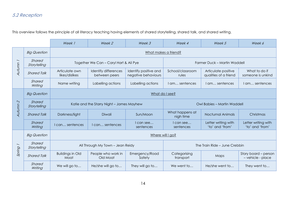# <span id="page-13-0"></span>5.2 Reception

|                          |                        | Week 1                                    | Week 2                                | Week 3                                       | Week 4                       | Week 5                                       | Week 6                                    |  |  |
|--------------------------|------------------------|-------------------------------------------|---------------------------------------|----------------------------------------------|------------------------------|----------------------------------------------|-------------------------------------------|--|--|
|                          | <b>Big Question</b>    | What makes a friend?                      |                                       |                                              |                              |                                              |                                           |  |  |
| $\overline{\phantom{0}}$ | Shared<br>Storytelling | Together We Can - Caryl Hart & Ali Pye    |                                       |                                              | Farmer Duck - Martin Waddell |                                              |                                           |  |  |
| Autumn                   | <b>Shared Talk</b>     | Articulate own<br>likes/dislikes          | Identify differences<br>between peers | Identify positive and<br>negative behaviours | School/classroom<br>rules    | Articulate positive<br>qualities of a friend | What to do if<br>someone is unkind        |  |  |
|                          | Shared<br>Writing      | Name writing                              | Labelling actions                     | Labelling actions                            | I am sentences               | I am sentences                               | I am sentences                            |  |  |
|                          | <b>Big Question</b>    |                                           | What do I see?                        |                                              |                              |                                              |                                           |  |  |
| $\mathcal{L}$            | Shared<br>Storytelling | Katie and the Starry Night - James Mayhew |                                       |                                              | Owl Babies - Martin Waddell  |                                              |                                           |  |  |
| Autumn                   | <b>Shared Talk</b>     | Darkness/light                            | Diwali                                | Sun/Moon                                     | What happens at<br>nigh time | <b>Nocturnal Animals</b>                     | Christmas                                 |  |  |
|                          | Shared<br>Writing      | I can sentences                           | can sentences                         | I can see<br>sentences                       | I can see<br>sentences       | Letter writing with<br>'to' and 'from'       | Letter writing with<br>'to' and 'from'    |  |  |
|                          | <b>Big Question</b>    | Where will I go?                          |                                       |                                              |                              |                                              |                                           |  |  |
| $\overline{\phantom{0}}$ | Shared<br>Storytelling |                                           | All Through My Town - Jean Reidy      |                                              |                              | The Train Ride – June Crebbin                |                                           |  |  |
| Spring                   | <b>Shared Talk</b>     | <b>Buildings in Old</b><br>Moat           | People who work in<br>Old Moat        | Emergency/Road<br>Safety                     | Categorising<br>transport    | Maps                                         | Story board - person<br>- vehicle - place |  |  |
|                          | Shared<br>Writing      | We will go to                             | He/she will go to                     | They will go to                              | We went to                   | He/she went to                               | They went to                              |  |  |

This overview follows the principle of all literacy teaching having elements of shared storytelling, shared talk, and shared writing.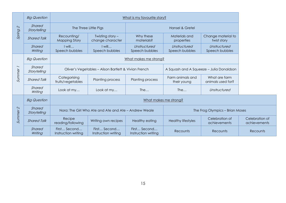|                          | <b>Big Question</b>    |                                                       |                                                       | What is my favourite story?         |                                          |                                       |  |
|--------------------------|------------------------|-------------------------------------------------------|-------------------------------------------------------|-------------------------------------|------------------------------------------|---------------------------------------|--|
| $\mathcal{L}$            | Shared<br>Storytelling |                                                       | The Three Little Pigs                                 |                                     | Hansel & Gretel                          |                                       |  |
| Spring                   | <b>Shared Talk</b>     | Recounting/<br><b>Mapping Story</b>                   | Twisting story -<br>change character                  | Why these<br>materials?             | Materials and<br>properties              | Change material to<br>twist story     |  |
|                          | Shared<br>Writing      | I will<br>Speech bubbles                              | I will<br>Speech bubbles                              | Unstructured<br>Speech bubbles      | Unstructured<br>Speech bubbles           | Unstructured<br>Speech bubbles        |  |
|                          | <b>Big Question</b>    |                                                       | What makes me strong?                                 |                                     |                                          |                                       |  |
| $\overline{\phantom{0}}$ | Shared<br>Storytelling | Oliver's Vegetables - Alison Bartlett & Vivian French |                                                       |                                     | A Squash and A Squeeze - Julia Donaldson |                                       |  |
| Summer                   | <b>Shared Talk</b>     | Categorising<br>fruits/vegetables                     | <b>Planting process</b>                               | Planting process                    | Farm animals and<br>their young          | What are farm<br>animals used for?    |  |
|                          | Shared<br>Writing      | Look at my                                            | Look at my                                            | The                                 | The                                      | Unstructured                          |  |
|                          | <b>Big Question</b>    | What makes me strong?                                 |                                                       |                                     |                                          |                                       |  |
| Summer 2                 | Shared<br>Storytelling |                                                       | Norg: The Girl Who Ate and Ate and Ate - Andrew Weale |                                     | The Frog Olympics - Brian Moses          |                                       |  |
|                          | <b>Shared Talk</b>     | Recipe<br>reading/following                           | Writing own recipes                                   | <b>Healthy eating</b>               | <b>Healthy lifestyles</b>                | Celebration of<br><i>achievements</i> |  |
|                          | Shared<br>Writing      | First Second<br>Instruction writing                   | First Second<br>Instruction writing                   | First Second<br>Instruction writing | Recounts                                 | Recounts                              |  |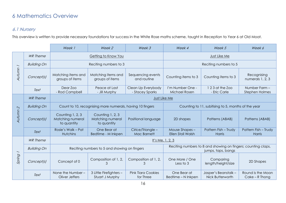# <span id="page-15-0"></span>6 Mathematics Overview

# <span id="page-15-1"></span>6.1 Nursery

This overview is written to provide necessary foundations for success in the White Rose maths scheme, taught in Reception to Year 6 at Old Moat.

|                          |                    | Week 1                                                    | Week 2                                              | Week 3                                  | Week 4                                                                              | Week 5                                   | Week 6                                 |
|--------------------------|--------------------|-----------------------------------------------------------|-----------------------------------------------------|-----------------------------------------|-------------------------------------------------------------------------------------|------------------------------------------|----------------------------------------|
|                          | <b>WR</b> Theme    | Getting to Know You                                       |                                                     | Just Like Me                            |                                                                                     |                                          |                                        |
| $\overline{\phantom{0}}$ | <b>Building On</b> |                                                           | Reciting numbers to 3                               |                                         |                                                                                     | Reciting numbers to 5                    |                                        |
| Autumn                   | Concept(s)         | Matching items and<br>groups of items                     | Matching items and<br>groups of items               | Sequencing events<br>and routine        | Counting items to 3                                                                 | Counting items to 3                      | Recognising<br>numerals 1, 2, 3        |
|                          | Text               | Dear Zoo<br>- Rod Campbell                                | Peace at Last<br>- Jill Murphy                      | Clean Up Everybody<br>- Stacey Sparks   | I'm Number One -<br>Michael Rosen                                                   | 123 at the Zoo<br>- Eric Carle           | Number Farm -<br><b>Stephen Holmes</b> |
|                          | <b>WR</b> Theme    | Just Like Me                                              |                                                     |                                         |                                                                                     |                                          |                                        |
| $\mathcal{L}$            | <b>Building On</b> | Count to 10, recognising more numerals, having 10 fingers |                                                     |                                         | Counting to 11, subitising to 5, months of the year                                 |                                          |                                        |
| Autumn                   | Concept(s)         | Counting 1, 2, 3<br>Matching numeral<br>to quantity       | Counting 1, 2, 3<br>Matching numeral<br>to quantity | Positional language                     | 2D shapes                                                                           | Patterns (ABAB)                          | Patterns (ABAB)                        |
|                          | Text               | Rosie's Walk - Pat<br><b>Hutchins</b>                     | One Bear at<br>Bedtime - M Inkpen                   | Cirlce/Triangle -<br><b>Mac Barnett</b> | Mouse Shapes-<br><b>Ellen Stoll Walsh</b>                                           | Pattern Fish - Trudy<br>Harris           | Pattern Fish - Trudy<br>Harris         |
|                          | <b>WR</b> Theme    | It's Me, 1, 2, 3                                          |                                                     |                                         |                                                                                     |                                          |                                        |
| $\overline{\phantom{0}}$ | <b>Building On</b> | Reciting numbers to 5 and showing on fingers              |                                                     |                                         | Reciting numbers to 8 and showing on fingers; counting claps,<br>jumps, taps, bangs |                                          |                                        |
| Spring                   | Concept(s)         | Concept of 0                                              | Composition of 1, 2,<br>3                           | Composition of 1, 2,<br>3               | One More / One<br>Less to 3                                                         | Comparing<br>length/height/size          | 2D Shapes                              |
|                          | Text               | None the Number-<br>Oliver Jeffers                        | 3 Little Firefighters -<br>Stuart J Murphy          | <b>Pink Tiara Cookies</b><br>for Three  | One Bear at<br>Bedtime - N Inkpen                                                   | Jasper's Beanstalk -<br>Nick Butterworth | Round is the Moon<br>$Cake - R$ Thong  |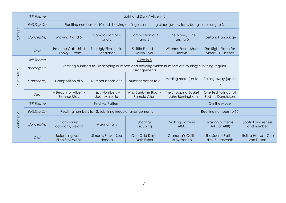|                          | <b>WR</b> Theme    |                                                                                                                     |                                                                                                    | Light and Dark / Alive in 5         |                                          |                                                  |  |  |  |
|--------------------------|--------------------|---------------------------------------------------------------------------------------------------------------------|----------------------------------------------------------------------------------------------------|-------------------------------------|------------------------------------------|--------------------------------------------------|--|--|--|
| $\mathcal{Q}$            | <b>Building On</b> |                                                                                                                     | Reciting numbers to 10 and showing on fingers; counting claps, jumps, taps, bangs; subitising to 3 |                                     |                                          |                                                  |  |  |  |
| Spring                   | Concept(s)         | Making 4 and 5                                                                                                      | Composition of 4<br>and 5                                                                          | Composition of 4<br>and 5           | One More / One<br>Less to 5              | Positional language                              |  |  |  |
|                          | Text               | Pete the Cat + his 4<br><b>Groovy Buttons</b>                                                                       | The Ugly Five - Julia<br>Donaldson                                                                 | 5 Little Friends -<br>Sarah Dyer    | Witches Four - Marc<br><b>Brown</b>      | The Right Place for<br>Albert - D Skinner        |  |  |  |
|                          | <b>WR</b> Theme    |                                                                                                                     | Alive in 5                                                                                         |                                     |                                          |                                                  |  |  |  |
| $\overline{\phantom{0}}$ | <b>Building On</b> | Reciting numbers to 10; skipping numbers and noticing which numbers are missing; subitising regular<br>arrangements |                                                                                                    |                                     |                                          |                                                  |  |  |  |
| Sunnner                  | Concept(s)         | Composition of 5                                                                                                    | Number bonds of 5                                                                                  | Number bonds to 5                   | Adding more (up to<br>5)                 | Taking away (up to<br>5)                         |  |  |  |
|                          | Text               | A Beach for Albert -<br>Eleanor May                                                                                 | I Spy Numbers -<br>Jean Marzello                                                                   | Who Sank the Boat -<br>Pamela Allen | The Shopping Basket<br>- John Burningham | One Ted Falls out of<br><b>Bed - J Donaldson</b> |  |  |  |
|                          | <b>WR</b> Theme    | <b>Find My Pattern</b>                                                                                              |                                                                                                    |                                     |                                          | On The Move                                      |  |  |  |
|                          | <b>Building On</b> |                                                                                                                     | Reciting numbers to 12; subitising irregular arrangements                                          |                                     |                                          | Reciting numbers to 15                           |  |  |  |
| Summer <sub>2</sub>      | Concept(s)         | Comparing<br>capacity/weight                                                                                        | <b>Making Pairs</b>                                                                                | Sharing/<br>grouping                | Making patterns<br>(ABAB)                | Making patterns<br>(AAB or ABB)                  |  |  |  |
|                          | Text               | Balancing Act-<br><b>Ellen Stoll Walsh</b>                                                                          | Simon's Sock - Sue<br>Hendra                                                                       | One Odd Day -<br>Doris Fisher       | Grandpa's Quilt -<br><b>Busy Franco</b>  | The Secret Path -<br><b>Nick Butterworth</b>     |  |  |  |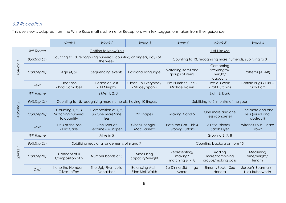# <span id="page-17-0"></span>6.2 Reception

This overview is adapted from the White Rose maths scheme for Reception, with text suggestions taken from their guidance.

|                          |                    | Week 1                                                       | Week 2                                                                         | Week 3                                | Week 4                                        | Week 5                                                     | Week 6                                            |  |  |
|--------------------------|--------------------|--------------------------------------------------------------|--------------------------------------------------------------------------------|---------------------------------------|-----------------------------------------------|------------------------------------------------------------|---------------------------------------------------|--|--|
|                          | <b>WR</b> Theme    |                                                              | Getting to Know You                                                            |                                       | Just Like Me                                  |                                                            |                                                   |  |  |
| $\overline{\phantom{0}}$ | <b>Building On</b> |                                                              | Counting to 10, recognising numerals, counting on fingers, days of<br>the week |                                       |                                               | Counting to 13, recognising more numerals, subitising to 3 |                                                   |  |  |
| Autunn                   | Concept(s)         | Age (4/5)                                                    | Sequencing events                                                              | Positional language                   | Matching items and<br>groups of items         | Comparing<br>size/length/<br>height/<br>capacity           | Patterns (ABAB)                                   |  |  |
|                          | Text               | Dear Zoo<br>- Rod Campbell                                   | Peace at Last<br>- Jill Murphy                                                 | Clean Up Everybody<br>- Stacey Sparks | I'm Number One -<br>Michael Rosen             | Rosie's Walk<br>- Pat Hutchins                             | Pattern Bugs / Fish -<br><b>Trudy Harris</b>      |  |  |
|                          | <b>WR</b> Theme    | It's Me, $1, 2, 3$                                           |                                                                                |                                       | Light & Dark                                  |                                                            |                                                   |  |  |
| $\mathcal{L}$            | <b>Building On</b> | Counting to 15, recognising more numerals, having 10 fingers |                                                                                |                                       | Subitising to 5, months of the year           |                                                            |                                                   |  |  |
| Autumn                   | Concept(s)         | Counting 1, 2, 3<br>Matching numeral<br>to quantity          | Composition of 1, 2,<br>3 - One more/one<br>less                               | 2D shapes                             | Making 4 and 5                                | One more and one<br>less (concrete)                        | One more and one<br>less (visual and<br>abstract) |  |  |
|                          | Text               | 1 2 3 at the Zoo<br>- Eric Carle                             | One Bear at<br>Bedtime - M Inkpen                                              | Cirlce/Triangle -<br>Mac Barnett      | Pete the Cat + his 4<br><b>Groovy Buttons</b> | 5 Little Friends -<br>Sarah Dyer                           | Witches Four - Marc<br><b>Brown</b>               |  |  |
|                          | <b>WR</b> Theme    | Alive in 5                                                   |                                                                                |                                       |                                               | Growing 6, 7, 8                                            |                                                   |  |  |
| $\overline{\phantom{0}}$ | <b>Building On</b> | Subitising regular arrangements of 6 and 7                   |                                                                                |                                       | Counting backwards from 15                    |                                                            |                                                   |  |  |
| Spring                   | Concept(s)         | Concept of 0<br>Composition of 5                             | Number bonds of 5                                                              | Measuring<br>capacity/weight          | Representing/<br>making/<br>matching 6, 7, 8  | Adding<br>more/combining<br>groups/making pairs            | Measuring<br>time/height/<br>length               |  |  |
|                          | Text               | None the Number $-$<br>Oliver Jeffers                        | The Ugly Five - Julia<br>Donaldson                                             | Balancing Act-<br>Ellen Stoll Walsh   | Six Dinner Sid - Inga<br>Moore                | Simon's Sock - Sue<br>Hendra                               | Jasper's Beanstalk -<br>Nick Butterworth          |  |  |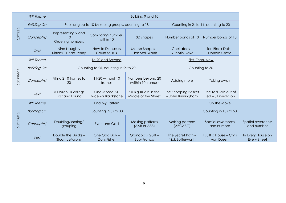|               | <b>WR</b> Theme    | Building 9 and 10                            |                                                      |                                              |                                              |                                                  |  |  |
|---------------|--------------------|----------------------------------------------|------------------------------------------------------|----------------------------------------------|----------------------------------------------|--------------------------------------------------|--|--|
| $\mathcal{L}$ | <b>Building On</b> |                                              | Subitising up to 10 by seeing groups, counting to 18 |                                              | Counting in 2s to 14, counting to 20         |                                                  |  |  |
| Spring        | Concept(s)         | Representing 9 and<br>10<br>Ordering numbers | Comparing numbers<br>within 10                       | 3D shapes                                    | Number bonds of 10                           | Number bonds of 10                               |  |  |
|               | Text               | Nine Naughty<br>Kittens - Linda Jenny        | How to Dinosaurs<br>Count to 10?                     | Mouse Shapes-<br><b>Ellen Stoll Walsh</b>    | Cockatoos-<br>Quentin Blake                  | Ten Black Dots-<br><b>Donald Crews</b>           |  |  |
|               | <b>WR</b> Theme    | To 20 and Beyond                             |                                                      |                                              |                                              | First, Then, Now                                 |  |  |
|               | <b>Building On</b> | Counting to 25, counting in 2s to 20         |                                                      |                                              | Counting to 30                               |                                                  |  |  |
| Summer 1      | Concept(s)         | Filling 2 10 frames to<br>20                 | 11-20 without 10<br>frames                           | Numbers beyond 20<br>(within 10 frames)      | Adding more                                  | Taking away                                      |  |  |
|               | Text               | A Dozen Ducklings<br>Lost and Found          | One Moose, 20<br>Mice - S Blackstone                 | 20 Big Trucks in the<br>Middle of the Street | The Shopping Basket<br>- John Burningham     | One Ted Falls out of<br><b>Bed - J Donaldson</b> |  |  |
|               | <b>WR</b> Theme    | Find My Pattern                              |                                                      |                                              |                                              | On The Move                                      |  |  |
| $\mathcal{Q}$ | <b>Building On</b> | Counting in 5s to 30                         |                                                      |                                              |                                              | Counting in 10s to 50                            |  |  |
| Sunnner       | Concept(s)         | Doubling/sharing/<br>grouping                | Even and Odd                                         | Making patterns<br>(AAB or ABB)              | Making patterns<br>(ABCABC)                  | Spatial awareness<br>and number                  |  |  |
|               | Text               | Double the Ducks-<br>Stuart J Murphy         | One Odd Day -<br><b>Doris Fisher</b>                 | Grandpa's Quilt -<br><b>Busy Franco</b>      | The Secret Path -<br><b>Nick Butterworth</b> | I Built a House - Chris<br>van Dusen             |  |  |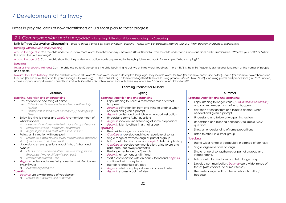# <span id="page-19-0"></span>7 Developmental Pathway

Notes in grey are ideas of how practitioners at Old Moat plan to foster progress.

### <span id="page-19-1"></span>Communication and Language • Listening, Attention & Understanding • Speaking

Birth to Three Observation Checkpoints Used to assess if child is on track at Nursery baseline - taken from Development Matters (DfE, 2021) with additional Old Moat checkpoints.

#### Listening, Attention and Understanding

Around the age of 2: Can the child understand many more words than they can say – between 200–500 words? Can the child understand simple questions and instructions like: "Where's your hat?" or "What's the boy in the picture doing?"

Around the age of 3: Can the child show that they understand action words by pointing to the right picture in a book. For example: "Who's jumping?"

#### Speaking

Towards their second birthday: Can the child use up to 50 words? □ Is the child beginning to put two or three words together: "more milk"? Is the child frequently asking questions, such as the names of people and objects?

Towards their third birthday: Can the child use around 300 words? These words include descriptive language. They include words for time (for example, 'now' and 'later'), space (for example, 'over there') and function (for example, they can tell you a sponge is for washing). □ Is the child linking up to 5 words together? Is the child using pronouns ('me', 'him', 'she'), and using plurals and prepositions ('in', 'on', 'under') - these may not always be used correctly to start with. Can the child follow instructions with three key words like: "Can you wash dolly's face?"

| Learning Priorities for Nursery                                                                                                                                                                                                                                                                                                                                                                                                                                                                                                                                                                                                                                                                                                                                                                                                                                                                                                                                                                                                                                                                                                                  |                                                                                                                                                                                                                                                                                                                                                                                                                                                                                                                                                                                                                                                                                                                                                                                                                                                                                                                                                                                                                                      |                                                                                                                                                                                                                                                                                                                                                                                                                                                                                                                                                                                                                                                                                                                                                                                                                                                                                  |  |  |  |  |
|--------------------------------------------------------------------------------------------------------------------------------------------------------------------------------------------------------------------------------------------------------------------------------------------------------------------------------------------------------------------------------------------------------------------------------------------------------------------------------------------------------------------------------------------------------------------------------------------------------------------------------------------------------------------------------------------------------------------------------------------------------------------------------------------------------------------------------------------------------------------------------------------------------------------------------------------------------------------------------------------------------------------------------------------------------------------------------------------------------------------------------------------------|--------------------------------------------------------------------------------------------------------------------------------------------------------------------------------------------------------------------------------------------------------------------------------------------------------------------------------------------------------------------------------------------------------------------------------------------------------------------------------------------------------------------------------------------------------------------------------------------------------------------------------------------------------------------------------------------------------------------------------------------------------------------------------------------------------------------------------------------------------------------------------------------------------------------------------------------------------------------------------------------------------------------------------------|----------------------------------------------------------------------------------------------------------------------------------------------------------------------------------------------------------------------------------------------------------------------------------------------------------------------------------------------------------------------------------------------------------------------------------------------------------------------------------------------------------------------------------------------------------------------------------------------------------------------------------------------------------------------------------------------------------------------------------------------------------------------------------------------------------------------------------------------------------------------------------|--|--|--|--|
| Autumn                                                                                                                                                                                                                                                                                                                                                                                                                                                                                                                                                                                                                                                                                                                                                                                                                                                                                                                                                                                                                                                                                                                                           | Spring                                                                                                                                                                                                                                                                                                                                                                                                                                                                                                                                                                                                                                                                                                                                                                                                                                                                                                                                                                                                                               | Summer                                                                                                                                                                                                                                                                                                                                                                                                                                                                                                                                                                                                                                                                                                                                                                                                                                                                           |  |  |  |  |
| Listening, Attention and Understanding<br>Pay attention to one thing at a time<br>Listen 1:1 to develop independence within daily<br>⇨<br>routine<br>Participate in short multi-sensory key person group<br>⇨<br>time<br>Enjoy listening to stories and <i>begin to</i> remember much of<br>what happens<br>Listen to short stories with illustrations / props / sounds<br>Recall key events / name key characters<br>$\Rightarrow$<br>Begin to join in text retell with some actions<br>$\Rightarrow$<br>Follow an instruction with one part<br>$\blacksquare$<br>Linked to: $\Box$ daily routine $\Box$ Key Person group activities<br>$\Rightarrow$<br>Special events: Autumn walk<br>$\Rightarrow$<br>Understand simple questions about 'who', 'what' and<br>$\blacksquare$<br>'where'<br>Get to know: $\Box$ one another $\Box$ new learning space<br>$\Rightarrow$<br>Find body / move different body parts<br>⇨<br>Recount of autumn walk<br>$\Rightarrow$<br>Begin to understand some 'why' questions related to own<br>$\blacksquare$<br>experiences<br>Autumn experiences<br>⇨<br>Speaking<br>Begin to use a wider range of vocabulary | Listening, Attention and Understanding<br>Enjoy listening to stories & remember much of what<br>happens<br>Begin to shift attention from one thing to another when<br>needed and given a prompt<br>Begin to understand and follow a two-part instruction<br>Understand some 'why' questions<br>Begin to show an understanding of some prepositions<br>Begin to listen to others in a small group<br>Speaking<br>Use a wider range of vocabulary<br>Continue to develop and sing a repertoire of songs<br>п<br>Sing a range of rhymes/songs as part of a group<br>Talk about a familiar book and <i>begin to</i> tell a simple story<br>Continue to develop communication, using future and<br>past tense (not always correctly)<br>Use longer sentence of 4/6 words<br>Begin to join sentences with 'and'<br>Start a conversation with an adult / friend and begin to<br>continue it with many turns<br>Use talk to organise self / play<br>Begin to retell a simple past event in correct order<br>Begin to express a point of view | Listening, Attention and Understanding<br>Enjoy listening to longer stories (with increased attention)<br>and can remember much of what happens<br>Shift their attention from one thing to another when<br>л.<br>needed and given a prompt<br>Understand and follow a two-part instruction<br>л.<br>Understand and respond confidently to simple 'why'<br>questions<br>Show an understanding of some prepositions<br>Listen to others in a small group<br>Speaking<br>User a wider range of vocabulary in a range of contexts<br>л.<br>Sing a large repertoire of songs<br>Sing a range of songs/rhymes as part of a group and<br>independently<br>Talk about a familiar book and tell a longer story<br>л.<br>Develop communication, begin to use a wider range of<br>tenses (with correct use of most tenses)<br>Use sentences joined by other words such as like /<br>because |  |  |  |  |
| Linked to: $\Box$ daily routine $\Box$ themes<br>⇨                                                                                                                                                                                                                                                                                                                                                                                                                                                                                                                                                                                                                                                                                                                                                                                                                                                                                                                                                                                                                                                                                               |                                                                                                                                                                                                                                                                                                                                                                                                                                                                                                                                                                                                                                                                                                                                                                                                                                                                                                                                                                                                                                      |                                                                                                                                                                                                                                                                                                                                                                                                                                                                                                                                                                                                                                                                                                                                                                                                                                                                                  |  |  |  |  |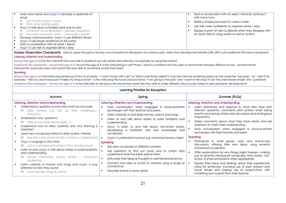| Learn new rhyme and <i>begin to</i> develop a repertoire of<br>songs                                          |  | Start a conversation with an adult / friend & continue it<br>with many turns                                 |
|---------------------------------------------------------------------------------------------------------------|--|--------------------------------------------------------------------------------------------------------------|
| Join in with actions / props<br>$\Rightarrow$                                                                 |  | Retell a simple past event in correct order                                                                  |
| Fill in some missing words<br>$\Rightarrow$<br>Begin to talk about a familiar book one-to-one                 |  | Use talk more confidently to organise selves / play                                                          |
| Comment on an illustration picture / illustration<br>⇨<br>Favourite character / part  character / events<br>⇨ |  | Express a point of view & debate when they disagree with<br>an adult /friend, using words as well as actions |
| Develop communication, begin to use different tenses                                                          |  |                                                                                                              |
| <i>Begin to</i> use longer sentences of 4/6 words                                                             |  |                                                                                                              |
| Start a conversation with an adult / friend                                                                   |  |                                                                                                              |
| <i>Begin to</i> use talk to organise selves / play                                                            |  |                                                                                                              |

Nursery Observation Checkpoints Used to assess throughout Nursery and at baseline for Reception new starter pupils- taken from Development Matters (DfE, 2021) with additional Old Moat checkpoints.

#### Listening, Attention and Understanding

Around the age of 3: Can the child shift from one task to another if you fully obtain their attention, for example, by using their name?

Additional OM checkpoint – Around the age of 4: Around the age of 4: Is the child joining in with Phase 1 phonics activities? Are they able to discriminate between different sounds – environmental, instrumental, body percussion and voice? Are they able to remember sounds they hear?

#### Speaking

Around the age of 4: Is the child using sentences of four to six words – "I want to play with cars" or "What's that thing called?"? Can the child use sentences joined up with words like 'because', 'or', 'and'? For example: "I like ice cream because it makes my tongue shiver". Is the child using the future and past tense: "I am going to the park" and "I went to the shop"? Can the child answer simple 'why' questions?

Additional OM checkpoint - Around the age of 4: Is the child able to talk about the sounds they hear? Are they able to make different voice sounds, linked to early phonemic development?

| Learning Priorities for Reception                                                                                                                                                                                                                                                                                                                                                                                                  |                                                                                                                                                                                                                                                                                                                                                                                                                                          |                                                                                                                                                                                                                                                                                                                                                                                                                                                                                                                                                      |  |  |  |  |
|------------------------------------------------------------------------------------------------------------------------------------------------------------------------------------------------------------------------------------------------------------------------------------------------------------------------------------------------------------------------------------------------------------------------------------|------------------------------------------------------------------------------------------------------------------------------------------------------------------------------------------------------------------------------------------------------------------------------------------------------------------------------------------------------------------------------------------------------------------------------------------|------------------------------------------------------------------------------------------------------------------------------------------------------------------------------------------------------------------------------------------------------------------------------------------------------------------------------------------------------------------------------------------------------------------------------------------------------------------------------------------------------------------------------------------------------|--|--|--|--|
| <b>Autumn</b>                                                                                                                                                                                                                                                                                                                                                                                                                      | Spring                                                                                                                                                                                                                                                                                                                                                                                                                                   | Summer (ELGs)                                                                                                                                                                                                                                                                                                                                                                                                                                                                                                                                        |  |  |  |  |
| Listening, Attention and Understanding                                                                                                                                                                                                                                                                                                                                                                                             | Listening, Attention and Understanding                                                                                                                                                                                                                                                                                                                                                                                                   | Listening, Attention and Understanding                                                                                                                                                                                                                                                                                                                                                                                                                                                                                                               |  |  |  |  |
| Understand a question or instruction that has two parts<br>Daily routines e.g. tidy up time, challenges<br>⇨<br>instruction<br>Understand 'why' questions<br>Why do you think he/she feels?<br>$\Rightarrow$<br>Understand how to listen carefully and why listening is<br>important<br>Learn new vocabulary linked to daily routine / theme<br>See UW: $\Box$ Me and My Family $\Box$ Autumn $\Box$ Celebrations<br>$\Rightarrow$ | Hold conversation when engaged in back-and-forth<br>exchanges with their teacher and peers.<br>Listen carefully to and learn rhymes, poems and songs<br>$\blacksquare$<br>Listen to and talk about stories to build familiarity and<br>understanding<br>Begin to listen to and talk about non-fiction books,<br>developing a familiarity with new knowledge and<br>vocabulary<br>Begin to understand humour e.g. nonsense rhymes / jokes | Listen attentively and respond to what they hear with<br>relevant questions, comments and actions when being<br>read to and during whole class discussions and small group<br><i>interactions</i><br>Make comments about what they have heard and ask<br>questions to clarify their understanding<br>Hold conversation when engaged in back-and-forth<br>exchanges with their teacher and peers<br><b>Speaking</b>                                                                                                                                   |  |  |  |  |
| Begin to engage in story time<br>Join in with repeated refrains / fill in rhyming words<br>$\Rightarrow$<br>Listen to and <i>begin to</i> talk about stories to build familiarity<br>and understanding<br>Discuss characters, events, setting  character,<br>happened<br>Listen carefully to rhymes and songs and <i>begin to</i> pay<br>attention to how they sound<br>Learn rhymes, songs & poems<br>$\Rightarrow$               | <b>Speaking</b><br>Use new vocabulary in different contexts<br>$\blacksquare$<br>Ask questions to find out more and to check they<br>understand what has been said to them<br>Articulate their ideas & thoughts in well-formed sentence<br>Connect one idea or action to another using a range of<br>connectives<br>Describe events in some detail                                                                                       | Participate in small group, class and one-to-one<br>discussions, offering their own ideas, using recently<br>introduced vocabulary;<br>Offer explanations for why things might happen, making<br>use of recently introduced vocabulary from stories, non-<br>fiction, rhymes and poems when appropriate;<br>Express their ideas and feelings about their experiences<br>$\blacksquare$<br>using full sentences, including use of past, present and<br>future tenses and making use of conjunctions, with<br>modelling and support from their teacher |  |  |  |  |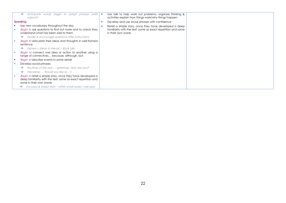| Anticipate words, begin to adapt phrases (with  <br>$\Rightarrow$<br>support)                                                                         | Use talk to help work out problems, organise thinking &<br>activities explain how things work/why things happen |  |
|-------------------------------------------------------------------------------------------------------------------------------------------------------|-----------------------------------------------------------------------------------------------------------------|--|
| <b>Speaking</b>                                                                                                                                       | Develop and use social phrases with confidence                                                                  |  |
| Use new vocabulary throughout the day                                                                                                                 | Retell a simple story, once they have developed a deep                                                          |  |
| <i>Begin to ask questions to find out more and to check they</i>                                                                                      | familiarity with the text; some as exact repetition and some                                                    |  |
| understand what has been said to them                                                                                                                 | in their own words                                                                                              |  |
| Model & encourage questions after instructions<br>⇨                                                                                                   |                                                                                                                 |  |
| Begin to articulate their ideas and thoughts in well-formed                                                                                           |                                                                                                                 |  |
| sentence                                                                                                                                              |                                                                                                                 |  |
| Express $\Box$ Ideas to friends $\Box$ Book talk<br>⇨                                                                                                 |                                                                                                                 |  |
| Begin to connect one idea or action to another using a<br>range of connectives because, although, but.                                                |                                                                                                                 |  |
| Begin to describe events in some detail                                                                                                               |                                                                                                                 |  |
| Develop social phrases                                                                                                                                |                                                                                                                 |  |
| Routines of the day  greetings, How are you?<br>$\Rightarrow$                                                                                         |                                                                                                                 |  |
| Friendship  Would you like to?<br>⇨                                                                                                                   |                                                                                                                 |  |
| Begin to retell a simple story, once they have developed a<br>deep familiarity with the text; some as exact repetition and<br>some in their own words |                                                                                                                 |  |
| Focused & linked texts – within small world / role play<br>⇨                                                                                          |                                                                                                                 |  |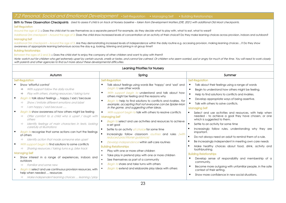### <span id="page-22-0"></span>7.2 Personal, Social and Emotional Development • Self-Regulation • Managing Self • Building Relationships

Birth to Three Observation Checkpoints Used to assess if child is on track at Nursery baseline – taken from Development Matters (DfE, 2021) with additional Old Moat checkpoints.

#### Self-Regulation

Around the age of 2: □ Does the child start to see themselves as a separate person? For example, do they decide what to play with, what to eat, what to wear?

Additional OM checkpoint – Around the age of 3: Does the child show increased levels of concentration at an activity of their choice? Do they make learning choices across provision, indoors and outdoors?

#### Managing Self

Additional OM checkpoint – Around the age of 3: Are they demonstrating increased levels of independence within the daily routine e.g. accessing provision, making learning choices ...? Do they show awareness of appropriate learning behaviours across the day e.g. looking, listening and joining in at group time?

#### Building Relationships

Between the ages of 2 and 3: □ Does the child start to enjoy the company of other children and want to play with them?

Note: watch out for children who get extremely upset by certain sounds, smells or tastes, and cannot be calmed. Or children who seem worried, sad or angry for much of the time. You will need to work closely with parents and other agencies to find out more about these developmental difficulties.

| Learning Priorities for Nursery                                                                                                                                                                                                                                    |                                                                                                                                                                                                                                                     |                                                                                                                                                                                                                                                                           |  |  |  |  |  |
|--------------------------------------------------------------------------------------------------------------------------------------------------------------------------------------------------------------------------------------------------------------------|-----------------------------------------------------------------------------------------------------------------------------------------------------------------------------------------------------------------------------------------------------|---------------------------------------------------------------------------------------------------------------------------------------------------------------------------------------------------------------------------------------------------------------------------|--|--|--|--|--|
| Autumn                                                                                                                                                                                                                                                             | Spring                                                                                                                                                                                                                                              | Summer                                                                                                                                                                                                                                                                    |  |  |  |  |  |
| <b>Self-Reaulation</b>                                                                                                                                                                                                                                             | <b>Self-Regulation</b>                                                                                                                                                                                                                              | <b>Self-Reaulation</b>                                                                                                                                                                                                                                                    |  |  |  |  |  |
| Show 'effortful control'<br>With support follow the daily routine<br>⇨<br>Play with others, sharing resources / taking turns<br>$\Rightarrow$<br>п<br>Begin to talk about feelings  happy / sad / because                                                          | Talk about feelings using words like 'happy' and 'sad' and<br>п<br>begin to use other words<br>With support begin to understand and talk about how<br>$\blacksquare$<br>others might be feeling and the reasons why                                 | Talk about their feelings using a range of words<br>Begin to understand how others might be feeling.<br>٠<br>$\blacksquare$<br>Help to find solutions to conflicts and rivalries.<br>Develop appropriate ways of being assertive.<br>п                                    |  |  |  |  |  |
| Show / imitate different emotions and label<br>$\Rightarrow$<br>I am happy / sad because<br>$\Rightarrow$                                                                                                                                                          | Begin to help to find solutions to conflicts and rivalries. For<br>п.<br>example, accepting that not everyone can be Spider-Man<br>in the game, and suggesting other ideas.                                                                         | Talk with others to solve conflicts.<br><b>Managing Self</b>                                                                                                                                                                                                              |  |  |  |  |  |
| $\blacksquare$<br>Begin to show awareness of how others might be feeling<br>Offer comfort to a child who is upset / laugh with<br>$\Rightarrow$<br>others<br>Identify feelings of main characters in texts, looking<br>$\Rightarrow$<br>carefully at illustrations | With support begin to talk with others to resolve conflicts<br>п.<br><b>Managing Self</b><br>Begin to select and use activities and resources to achieve<br>a set goal                                                                              | Select and use activities and resources, with help when<br>$\blacksquare$<br>needed - to achieve a goal they have chosen, or one<br>which is suggested to them.<br>Settle to an activity for some time<br>٠                                                               |  |  |  |  |  |
| <b>Begin to recognise that some actions can hurt the feelings</b><br>of others<br>Identify action that made someone else upset<br>$\Rightarrow$                                                                                                                    | Settle to an activity of choice for some time<br>Increasingly follow classroom routines and rules (with<br>reduced practitioner guidance)                                                                                                           | Increasingly follow rules, understanding why they are<br>important.<br>Do not always need an adult to remind them of a rule.<br>$\blacksquare$                                                                                                                            |  |  |  |  |  |
| $\blacksquare$<br>With support begin to find solutions to some conflicts<br>Sharing resources / taking turns e.g. bike track<br>$\Rightarrow$<br><b>Managing Self</b>                                                                                              | Develop independence within self-care routines<br><b>Building Relationships</b><br>Play with one or more other children<br>$\blacksquare$                                                                                                           | Be increasingly independent in meeting own care needs<br>Make healthy choices about food, drink, activity and<br>toothbrushing.                                                                                                                                           |  |  |  |  |  |
| Show interest in a range of experiences, indoors and<br>outdoors<br>Familiar and some new<br><b>Begin to select and use continuous provision resources, with</b><br>help when needed  resources                                                                    | Take play in pretend play with one or more children<br>$\blacksquare$<br>See themselves as part of a community<br><b>Begin to share and take turns with others</b><br>$\blacksquare$<br><b>Begin to extend and elaborate play ideas with others</b> | <b>Building Relationships</b><br>Develop sense of responsibility and membership of a<br>$\blacksquare$<br>community.<br>Become more outgoing with unfamiliar people, in the safe<br>п<br>context of their setting.<br>Show more confidence in new social situations.<br>п |  |  |  |  |  |
| Make independent learning choices  learning / play<br>$\Rightarrow$                                                                                                                                                                                                |                                                                                                                                                                                                                                                     |                                                                                                                                                                                                                                                                           |  |  |  |  |  |

#### Learning Priorities for Nursery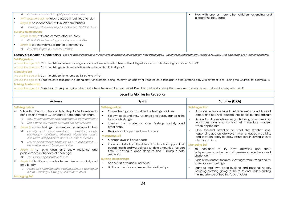|                               | Put resources back in right place once used<br>$\Rightarrow$         | Play with one or more other children, extending and |
|-------------------------------|----------------------------------------------------------------------|-----------------------------------------------------|
|                               | With support begin to follow classroom routines and rules            | elaborating play ideas.                             |
|                               | <i>Begin to</i> be independent within self-care routines             |                                                     |
|                               | Toileting / Handwashing / Snack time / Outdoor time<br>$\Rightarrow$ |                                                     |
| <b>Building Relationships</b> |                                                                      |                                                     |
|                               | Begin to play with one or more other children                        |                                                     |
|                               | Child-initiated learning / small group activities<br>$\Rightarrow$   |                                                     |
|                               | <i>Begin to</i> see themselves as part of a community                |                                                     |
|                               | Key Person group / nursery / family<br>⇨                             |                                                     |

Nursery Observation Checkpoints Used to assess throughout Nursery and at baseline for Reception new starter pupils- taken from Development Matters (DfE, 2021) with additional Old Moat checkpoints. Self-Regulation

Around the age of 3: Can the child sometimes manage to share or take turns with others, with adult guidance and understanding 'yours' and 'mine'?

Around the age of 4: Can the child generally negotiate solutions to conflicts in their play?

#### Managing Self

Around the age of 3: Can the child settle to some activities for a while?

Around the age of 4: Does the child take part in pretend play (for example, being 'mummy' or 'daddy'?) Does the child take part in other pretend play with different roles – being the Gruffalo, for example? □

#### Building Relationships

Around the age of 4: Does the child play alongside others or do they always want to play alone? Does the child start to enjoy the company of other children and want to play with them?

|              | Learning Priorities for Reception                                                                                                                                                                                                                                                                                                                                                                                                                                                                                                                                                   |                                                                                                                                                                                                                                                                                                                                         |                                                                                                                                                                                                                                                                                                                                                                                                                                                                                     |  |  |  |  |
|--------------|-------------------------------------------------------------------------------------------------------------------------------------------------------------------------------------------------------------------------------------------------------------------------------------------------------------------------------------------------------------------------------------------------------------------------------------------------------------------------------------------------------------------------------------------------------------------------------------|-----------------------------------------------------------------------------------------------------------------------------------------------------------------------------------------------------------------------------------------------------------------------------------------------------------------------------------------|-------------------------------------------------------------------------------------------------------------------------------------------------------------------------------------------------------------------------------------------------------------------------------------------------------------------------------------------------------------------------------------------------------------------------------------------------------------------------------------|--|--|--|--|
|              | Autumn                                                                                                                                                                                                                                                                                                                                                                                                                                                                                                                                                                              | Spring                                                                                                                                                                                                                                                                                                                                  | Summer (ELGs)                                                                                                                                                                                                                                                                                                                                                                                                                                                                       |  |  |  |  |
| $\mathbf{r}$ | Self-Regulation<br>Talk with others to solve conflicts. Help to find solutions to<br>conflicts and rivalries  fair, agree, turns, together, share<br>How to compromise and negotiate to solve problems<br>$\Rightarrow$<br>Use $\Box$ book talk $\Box$ puppets $\Box$ real life experiences<br>⇨<br>Begin to express feelings and consider the feelings of others<br>Identify and name emotions  emotion, lonely,<br>⇨<br>sad/happy, confident, pleased, frightened, angry,<br>confused, disappointed, nervous/worried, excited<br>Link book character's emotion to own experiences | Self-Regulation<br>Express feelings and consider the feelings of others<br>Set own goals and show resilience and perseverance in the<br>face of challenge<br>Identify and moderate own feelings socially and<br>emotionally<br>Think about the perspectives of others<br><b>Managing Self</b><br>Manage own self-care needs             | Self-Regulation<br>Show an understanding of their own feelings and those of<br>others, and begin to regulate their behaviour accordingly<br>Set and work towards simple goals, being able to wait for<br>what they want and control their immediate impulses<br>when appropriate<br>Give focused attention to what the teacher says,<br>responding appropriately even when engaged in activity,<br>and show an ability to follow instructions involving several<br>ideas or actions |  |  |  |  |
|              | expression, mood, feeling/emotion<br>Begin to set own goals and show resilience and<br>perseverance in the face of challenge<br>Set a shared goal with a friend<br>⇨<br>Begin to identify and moderate own feelings socially and<br>emotionally<br>Focus on $\Box$ keeping calm $\Box$ being patient $\Box$ waiting for<br>⇨<br>$\alpha$ turn $\alpha$ sharing $\alpha$ tidying up after themselves<br><b>Managing Self</b>                                                                                                                                                         | Know and talk about the different factors that support their<br>overall health and wellbeing: $\Box$ sensible amounts of 'screen<br>time' $\Box$ having a good sleep routine $\Box$ being a safe<br>pedestrian<br><b>Building Relationships</b><br>See self as a valuable individual<br>Build constructive and respectful relationships | <b>Managing Self</b><br>to try new activities and<br>Be confident<br>show<br>independence, resilience and perseverance in the face of<br>challenge<br>Explain the reasons for rules, know right from wrong and try<br>to behave accordingly<br>Manage their own basic hygiene and personal needs,<br>including dressing, going to the toilet and understanding<br>the importance of healthy food choices                                                                            |  |  |  |  |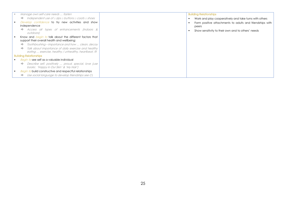|                | Manage own self-care needs  fasten                                      | <b>Building Relationships</b>                            |  |
|----------------|-------------------------------------------------------------------------|----------------------------------------------------------|--|
|                | Independent use of $\Box$ zips $\Box$ buttons $\Box$ coats $\Box$ shoes | Work and play cooperatively and take turns with others   |  |
| $\blacksquare$ | Develop confidence to try new activities and show                       | Form positive attachments to adults and friendships with |  |
|                | independence                                                            | peers                                                    |  |
|                | Access all types of enhancements (indoors &<br><i>outdoors)</i>         | Show sensitivity to their own and to others' needs       |  |
|                | Know and <i>begin to</i> talk about the different factors that          |                                                          |  |
|                | support their overall health and wellbeing:                             |                                                          |  |
|                | Toothbrushing – importance and how  clean, decay<br>$\Rightarrow$       |                                                          |  |
|                | Talk about importance of daily exercise and healthy<br>$\Rightarrow$    |                                                          |  |
|                | eating  exercise, healthy / unhealthy, heartbeat, fit                   |                                                          |  |
|                | <b>Building Relationships</b>                                           |                                                          |  |
|                | <i>Begin to</i> see self as a valuable individual                       |                                                          |  |
|                | Describe self, positively  proud, special, love (use<br>$\Rightarrow$   |                                                          |  |
|                | books: 'Happy in Our Skin' & 'My Hair')                                 |                                                          |  |
|                | <b>Begin to build constructive and respectful relationships</b>         |                                                          |  |
|                | Use social language to develop friendships see CL<br>$\Rightarrow$      |                                                          |  |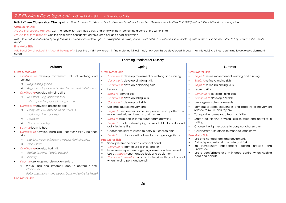### <span id="page-25-0"></span>7.3 Physical Development • Gross Motor Skills • Fine Motor Skills

Birth to Three Observation Checkpoints Used to assess if child is on track at Nursery baseline – taken from Development Matters (DfE, 2021) with additional Old Moat checkpoints. Gross Motor Skills

Around their second birthday: Can the toddler run well, kick a ball, and jump with both feet off the ground at the same time?

Around their third birthday: Can the child climb confidently, catch a large ball and pedal a tricycle?

Note: look out for babies and young toddlers who appear underweight, overweight or to have poor dental health. You will need to work closely with parents and health visitors to help improve the child's health.

#### Fine Motor Skills

Additional OM checkpoint – Around the age of 3: Does the child show interest in fine motor activities? If not, how can this be developed through their interests? Are they beginning to develop a dominant hand?

|                                  |                                                                                                                                                                                                                                                                                                                                                                                                                                                                                                                                                                                                                                                                                                                                                                                                                                                                                              | Learning Priorities for Nursery                                                                                                                                                                                                                                                                                                                                                                                                                                                                                                                                                                                                                                                                                                                                                                                                                                                                                                                                                                                                                                                                                                                                                                                                                                 |                                                                                                                                                                                                                                                                                                                                                                                                                                                                                                                                                                                                                                                                                                                                                                                                                                                                                                                                                                                                                             |
|----------------------------------|----------------------------------------------------------------------------------------------------------------------------------------------------------------------------------------------------------------------------------------------------------------------------------------------------------------------------------------------------------------------------------------------------------------------------------------------------------------------------------------------------------------------------------------------------------------------------------------------------------------------------------------------------------------------------------------------------------------------------------------------------------------------------------------------------------------------------------------------------------------------------------------------|-----------------------------------------------------------------------------------------------------------------------------------------------------------------------------------------------------------------------------------------------------------------------------------------------------------------------------------------------------------------------------------------------------------------------------------------------------------------------------------------------------------------------------------------------------------------------------------------------------------------------------------------------------------------------------------------------------------------------------------------------------------------------------------------------------------------------------------------------------------------------------------------------------------------------------------------------------------------------------------------------------------------------------------------------------------------------------------------------------------------------------------------------------------------------------------------------------------------------------------------------------------------|-----------------------------------------------------------------------------------------------------------------------------------------------------------------------------------------------------------------------------------------------------------------------------------------------------------------------------------------------------------------------------------------------------------------------------------------------------------------------------------------------------------------------------------------------------------------------------------------------------------------------------------------------------------------------------------------------------------------------------------------------------------------------------------------------------------------------------------------------------------------------------------------------------------------------------------------------------------------------------------------------------------------------------|
|                                  | Autumn                                                                                                                                                                                                                                                                                                                                                                                                                                                                                                                                                                                                                                                                                                                                                                                                                                                                                       | Spring                                                                                                                                                                                                                                                                                                                                                                                                                                                                                                                                                                                                                                                                                                                                                                                                                                                                                                                                                                                                                                                                                                                                                                                                                                                          | Summer                                                                                                                                                                                                                                                                                                                                                                                                                                                                                                                                                                                                                                                                                                                                                                                                                                                                                                                                                                                                                      |
| ı.<br>ı.<br>$\blacksquare$<br>ı. | <b>Gross Motor Skills</b><br>Continue to develop movement skills of walking and<br>running<br>Negotiating space<br>$\Rightarrow$<br>Begin to adapt speed / direction to avoid obstacles<br>⇨<br>Continue to develop climbing skills<br>Use stairs using alternate feet<br>$\Rightarrow$<br>With support explore climbing frame<br>$\Rightarrow$<br>Continue to develop balancing skills<br>Complete low level obstacle courses<br>⇨<br>Walk up / down a ramp<br>⇨<br>Stand still<br>$\Rightarrow$<br>Stand on one leg<br>$\Rightarrow$<br><b>Begin to learn to hop</b><br>Continue to develop riding skills - scooter / trike / balance<br>bike<br>Use bike track: $\square$ following track $\square$ right direction<br>$\Rightarrow$<br>Stop / start<br>$\Rightarrow$<br>Continue to develop ball skills<br>Rolling (partner / circle games)<br>$\Rightarrow$<br>Kicking<br>$\Rightarrow$ | <b>Gross Motor Skills</b><br>Continue to develop movement of walking and running<br>Continue to develop climbing skills<br>$\blacksquare$<br>Continue to develop balancing skills<br>$\blacksquare$<br>Learn to hop<br>$\blacksquare$<br><b>Begin to learn to skip</b><br>$\blacksquare$<br>Continue to develop riding skills<br>$\blacksquare$<br>Continue to develop ball skills<br>$\blacksquare$<br>Use large muscle movements<br>$\blacksquare$<br>Begin to remember some sequences and patterns of<br>$\blacksquare$<br>movement related to music and rhythm<br>Begin to take part in some group team activities<br>$\blacksquare$<br>Begin to match developing physical skills to tasks and<br>$\blacksquare$<br>activities in setting<br>Choose the right resource to carry out chosen plan<br>Begin to collaborate with others to manage large items<br>$\blacksquare$<br><b>Fine Motor Skills</b><br>Show preference a for a dominant hand<br>$\blacksquare$<br>Continue to learn to use a knife and fork<br>$\blacksquare$<br>Increase independence getting dressed and undressed<br>$\blacksquare$<br>Use a range of one-handed tools and equipment<br>$\blacksquare$<br>Continue to develop a comfortable grip with good control<br>$\blacksquare$ | <b>Gross Motor Skills</b><br><b>Begin to refine movement of walking and running</b><br>٠<br><b>Begin to refine climbing skills</b><br>$\blacksquare$<br><b>Begin to refine balancing skills</b><br>$\blacksquare$<br>Learn to skip<br>$\blacksquare$<br>Continue to develop riding skills<br>$\blacksquare$<br>Continue to develop ball skills<br>$\blacksquare$<br>Use large muscle movements<br>٠<br>Remember some sequences and patterns of movement<br>related to music and rhythm<br>Take part in some group team activities<br>Match developing physical skills to tasks and activities in<br>setting<br>Choose the right resource to carry out chosen plan<br>$\blacksquare$<br>Collaborate with others to manage large items<br><b>Fine Motor Skills</b><br>Use one-handed tools and equipment.<br>Eat independently using a knife and fork<br>٠<br>Be increasingly independent getting dressed<br>and<br>undressed<br>Use a comfortable grip with good control when holding<br>$\blacksquare$<br>pens and pencils. |
| $\blacksquare$                   | Begin to use large-muscle movements to<br>Wave flags and streamers (top to bottom / anti-<br>clockwise)<br>Paint and make marks (top to bottom / anti-clockwise)<br>$\Rightarrow$<br><b>Fine Motor Skills</b>                                                                                                                                                                                                                                                                                                                                                                                                                                                                                                                                                                                                                                                                                | when holding pens and pencils.                                                                                                                                                                                                                                                                                                                                                                                                                                                                                                                                                                                                                                                                                                                                                                                                                                                                                                                                                                                                                                                                                                                                                                                                                                  |                                                                                                                                                                                                                                                                                                                                                                                                                                                                                                                                                                                                                                                                                                                                                                                                                                                                                                                                                                                                                             |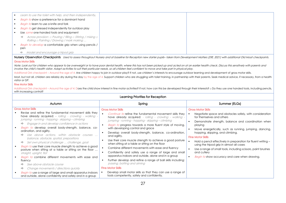| Learn to use the toilet with help, and then independently.                                                                                              |
|---------------------------------------------------------------------------------------------------------------------------------------------------------|
| Begin to show a preference for a dominant hand                                                                                                          |
| <i>Begin to</i> learn to use a knife and fork                                                                                                           |
| Begin to get dressed independently for outdoor play                                                                                                     |
| Use some one-handed tools and equipment                                                                                                                 |
| Across provision: $\exists$ Pouring / filling $\exists$ Stirring / mixing $\exists$<br>$\Rightarrow$<br>Rolling $\Box$ Painting / Drawing / mark making |
| Begin to develop a comfortable grip when using pencils /                                                                                                |
| pen                                                                                                                                                     |
| Model and encourage a tripod grip<br>⇨                                                                                                                  |

Nursery Observation Checkpoints Used to assess throughout Nursery and at baseline for Reception new starter pupils- taken from Development Matters (DfE, 2021) with additional Old Moat checkpoints. Gross Motor Skills

Note: Look out for children who appear to be overweight or to have poor dental health, where this has not been picked up and acted on at an earlier health check. Discuss this sensitively with parents and involve the child's health visitor. Adapt activities to suit their particular needs, so all children feel confident to move and take part in physical play.

Additional OM checkpoint – Around the age of 4: Are children happy to join in outdoor play? If not, use children's interests to encourage outdoor learning and development of gross motor skills.

Most, but not all, children are reliably dry during the day by the age of 4. Support children who are struggling with toilet training, in partnership with their parents. Seek medical advice, if necessary, from a health visitor or GP.

#### Fine Motor Skills

Additional OM checkpoint – Around the age of 4: Does the child show interest in fine motor activities? If not, how can this be developed through their interests? □ Do they use one handed tools, including pencils, with increasing control?

|                                                                                                                                                                                                                                                                                                                                                                                                                                                                                                                                                                                                                                                                                                                                                                                                                                                                                                                                                                   | Learning Priorities for Reception                                                                                                                                                                                                                                                                                                                                                                                                                                                                                                                                                                                                                                                                                                                                                                                                                                                                                 |                                                                                                                                                                                                                                                                                                                                                                                                                                                                                                                                                                      |
|-------------------------------------------------------------------------------------------------------------------------------------------------------------------------------------------------------------------------------------------------------------------------------------------------------------------------------------------------------------------------------------------------------------------------------------------------------------------------------------------------------------------------------------------------------------------------------------------------------------------------------------------------------------------------------------------------------------------------------------------------------------------------------------------------------------------------------------------------------------------------------------------------------------------------------------------------------------------|-------------------------------------------------------------------------------------------------------------------------------------------------------------------------------------------------------------------------------------------------------------------------------------------------------------------------------------------------------------------------------------------------------------------------------------------------------------------------------------------------------------------------------------------------------------------------------------------------------------------------------------------------------------------------------------------------------------------------------------------------------------------------------------------------------------------------------------------------------------------------------------------------------------------|----------------------------------------------------------------------------------------------------------------------------------------------------------------------------------------------------------------------------------------------------------------------------------------------------------------------------------------------------------------------------------------------------------------------------------------------------------------------------------------------------------------------------------------------------------------------|
| Autumn                                                                                                                                                                                                                                                                                                                                                                                                                                                                                                                                                                                                                                                                                                                                                                                                                                                                                                                                                            | Spring                                                                                                                                                                                                                                                                                                                                                                                                                                                                                                                                                                                                                                                                                                                                                                                                                                                                                                            | Summer (ELGs)                                                                                                                                                                                                                                                                                                                                                                                                                                                                                                                                                        |
| <b>Gross Motor Skills</b><br>Revise and refine the fundamental movement skills they<br>have already acquired: - rolling - crawling - walking -<br>jumping - running - hopping - skipping – climbing<br>Engage in and develop confidence in actions<br>$\Rightarrow$<br>Begin to develop overall body-strength, balance, co-<br>ordination, and agility.<br>Use above actions, within obstacle courses<br>balance, obstacle, spatial, prepositions<br>Set own physical challenge  challenge, goal<br>$\Rightarrow$<br>Begin to use their core muscle strength to achieve a good<br>posture when sitting at a table or sitting on the floor<br>straight, upright, flat<br>Begin to combine different movements with ease and<br>fluency<br>See above obstacle course<br>$\Rightarrow$<br>Change movements / directions quickly<br>⇨<br><i>Begin to</i> use a range of large and small apparatus indoors<br>and outside, alone confidently and safely and in a group | <b>Gross Motor Skills</b><br><i>Continue to</i> refine the fundamental movement skills they<br>have already acquired: - rolling - crawling - walking -<br>jumping - running - hopping - skipping – climbing<br>Begin to progress towards a more fluent style of moving,<br>with developing control and grace<br>Develop overall body-strength, balance, co-ordination,<br>and agility.<br>Use their core muscle strength to achieve a good posture<br>when sitting at a table or sitting on the floor<br>Combine different movements with ease and fluency<br>Confidently and safely use a range of large and small<br>apparatus indoors and outside, alone and in a group<br>Further develop and refine a range of ball skills including:<br>passing, batting and aiming<br><b>Fine Motor Skills</b><br>Develop small motor skills so that they can use a range of<br>tools competently, safely and confidently. | <b>Gross Motor Skills</b><br>Negotiate space and obstacles safely, with consideration<br>for themselves and others<br>Demonstrate strength, balance and coordination when<br>playing<br>Move energetically, such as running, jumping, dancing,<br>hopping, skipping, and climbing.<br><b>Fine Motor Skills</b><br>Hold a pencil effectively in preparation for fluent writing -<br>using the tripod grip in almost all cases<br>Use a range of small tools, including scissors, paint brushes<br>and cutlery<br><i>Begin to</i> show accuracy and care when drawing. |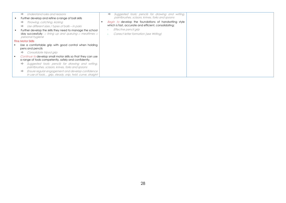| Understand rules and reasons<br>$\Rightarrow$<br>Further develop and refine a range of ball skills                                                                                                                                                                          | Suggested tools: pencils for drawing and writing,<br>⇨<br>paintbrushes, scissors, knives, forks and spoons                                                                        |  |
|-----------------------------------------------------------------------------------------------------------------------------------------------------------------------------------------------------------------------------------------------------------------------------|-----------------------------------------------------------------------------------------------------------------------------------------------------------------------------------|--|
| Throwing, catching, kicking<br>$\Rightarrow$<br>Use different sizes / types of balls – in pairs<br>$\Rightarrow$<br>Further develop the skills they need to manage the school<br>day successfully: $\Box$ lining up and queuing $\Box$ mealtimes $\Box$<br>personal hygiene | Begin to develop the foundations of handwriting style<br>which is fast, accurate and efficient, consolidating:<br>Effective pencil grip<br>Correct letter formation (see Writing) |  |
| <b>Fine Motor Skills</b>                                                                                                                                                                                                                                                    |                                                                                                                                                                                   |  |
| Use a comfortable grip with good control when holding<br>pens and pencils                                                                                                                                                                                                   |                                                                                                                                                                                   |  |
| Consolidate tripod grip<br>$\Rightarrow$                                                                                                                                                                                                                                    |                                                                                                                                                                                   |  |
| <i>Continue to</i> develop small motor skills so that they can use<br>a range of tools competently, safely and confidently.                                                                                                                                                 |                                                                                                                                                                                   |  |
| Suggested tools: pencils for drawing and writing,<br>$\Rightarrow$<br>paintbrushes, scissors, knives, forks and spoons                                                                                                                                                      |                                                                                                                                                                                   |  |
| Ensure regular engagement and develop confidence<br>$\Rightarrow$<br>in use of tools grip, steady, snip, twist, curve, straight                                                                                                                                             |                                                                                                                                                                                   |  |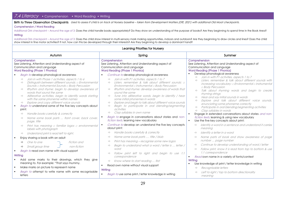# <span id="page-28-0"></span>7.4 Literacy • Comprehension • Word Reading • Writing

Birth to Three Observation Checkpoints Used to assess if child is on track at Nursery baseline – taken from Development Matters (DfE, 2021) with additional Old Moat checkpoints.

#### Comprehension / Word Reading

Additional OM checkpoint – Around the age of 3: Does the child handle books appropriately? Do they show an understanding of the purpose of books? Are they beginning to spend time in the Book Area? **Writing** 

Additional OM checkpoint – Around the age of 3: Does the child show interest in multi-sensory mark making opportunities, indoors and outdoors? Are they beginning to draw circles and lines? Does the child show interest in fine motor activities? If not, how can this be developed through their interests? Are they beginning to develop a dominant hand?

|                                                                                                                                                                                                                                                                                                                                                                                                                                                                                                                                                                                                              | Learning Priorities for Nursery                                                                                                                                                                                                                                                                                                                                                                                                                                                                                                                                                                                |                                                                                                                                                                                                                                                                                                                                                                                                                                                                                                                                                                                                                                                                                                     |  |  |
|--------------------------------------------------------------------------------------------------------------------------------------------------------------------------------------------------------------------------------------------------------------------------------------------------------------------------------------------------------------------------------------------------------------------------------------------------------------------------------------------------------------------------------------------------------------------------------------------------------------|----------------------------------------------------------------------------------------------------------------------------------------------------------------------------------------------------------------------------------------------------------------------------------------------------------------------------------------------------------------------------------------------------------------------------------------------------------------------------------------------------------------------------------------------------------------------------------------------------------------|-----------------------------------------------------------------------------------------------------------------------------------------------------------------------------------------------------------------------------------------------------------------------------------------------------------------------------------------------------------------------------------------------------------------------------------------------------------------------------------------------------------------------------------------------------------------------------------------------------------------------------------------------------------------------------------------------------|--|--|
| Autumn                                                                                                                                                                                                                                                                                                                                                                                                                                                                                                                                                                                                       | Spring                                                                                                                                                                                                                                                                                                                                                                                                                                                                                                                                                                                                         | Summer                                                                                                                                                                                                                                                                                                                                                                                                                                                                                                                                                                                                                                                                                              |  |  |
| Comprehension<br>See Listening, Attention and Understanding aspect of<br>Communication and Language<br><b>Word Reading (Phase 1 Phonics)</b>                                                                                                                                                                                                                                                                                                                                                                                                                                                                 | Comprehension<br>See Listening, Attention and Understanding aspect of<br>Communication and Language<br><b>Word Reading (Phase 1 Phonics)</b>                                                                                                                                                                                                                                                                                                                                                                                                                                                                   | Comprehension<br>See Listening, Attention and Understanding aspect of<br>Communication and Language<br><b>Word Reading (Phase 1 Phonics)</b>                                                                                                                                                                                                                                                                                                                                                                                                                                                                                                                                                        |  |  |
| <b>Begin to develop phonological awareness</b><br>Join in with Phase 1 activities, aspects 1 to 6<br>$\Rightarrow$                                                                                                                                                                                                                                                                                                                                                                                                                                                                                           | Continue to develop phonological awareness<br>Join in with P1 activities, aspects 1 to 7<br>$\Rightarrow$                                                                                                                                                                                                                                                                                                                                                                                                                                                                                                      | Develop phonological awareness<br>Join in with P1 activities, aspects 1 to 7<br>$\Rightarrow$                                                                                                                                                                                                                                                                                                                                                                                                                                                                                                                                                                                                       |  |  |
| Distinguish between different sounds: a Environmental<br>$\Rightarrow$<br>Sounds a Instrumental Sounds a Body Percussion<br>Rhythm and rhyme: begin to develop awareness of<br>$\Rightarrow$<br>words that sound the same<br>Alliterative activities, begin to identify words starting<br>$\Rightarrow$<br>with the same phoneme within names<br>Explore and copy different voice sounds<br>Begin to understand some of the five key concepts about<br>л.<br>print:<br>Handle books carefully & correctly<br>$\Rightarrow$<br>Name some book parts  front cover, back cover,<br>$\Rightarrow$<br>page, title | Listen, remember & talk about different sounds: $\Box$<br>$\Rightarrow$<br>Environmental a Instrumental a Body Percussion<br>Rhythm and rhyme: develop awareness of words that<br>sound the same<br>Tune into alliterative words, begin to identify / hear<br>$\Rightarrow$<br>some initial phonemes in words<br>Explore and begin to talk about different voice sounds<br>Begin to participate in oral blending/segmenting<br>$\Rightarrow$<br>activities<br>Clap syllables in own name<br>$\Rightarrow$<br>Begin to engage in conversations about stories and non-<br>fiction texts, learning new vocabulary | Listen, remember & talk about different sounds with<br>$\Rightarrow$<br>$increasing$ vocabulary: $\Box$ Environmental $\Box$ Instrumental<br><b>Body Percussion</b><br>Talk about rhyming words and begin to create<br>$\Rightarrow$<br>rhyming strings<br>Hear and say initial sounds in words<br>$\Rightarrow$<br>Explore and talk about different voice sounds,<br>$\Rightarrow$<br>enunciating some phoneme correctly<br>Participate in oral blending/segmenting activities<br>$\Rightarrow$<br>Clap syllables in words<br>$\Rightarrow$<br>Engage in extended conversations about stories and non-<br>fiction texts, learning & using new vocabulary<br>Use the five key concepts about print: |  |  |
| Print has meaning a familiar logos a environmental<br>$\Rightarrow$<br>labels with photograph                                                                                                                                                                                                                                                                                                                                                                                                                                                                                                                | Continue to develop an understand the five key concepts<br>about print:                                                                                                                                                                                                                                                                                                                                                                                                                                                                                                                                        | Identify a word in a sentence and understand it carries<br>$\Rightarrow$<br>meaning                                                                                                                                                                                                                                                                                                                                                                                                                                                                                                                                                                                                                 |  |  |
| Understand print is read left to right.<br>$\Rightarrow$                                                                                                                                                                                                                                                                                                                                                                                                                                                                                                                                                     | Handle books carefully & correctly<br>$\Rightarrow$                                                                                                                                                                                                                                                                                                                                                                                                                                                                                                                                                            | Identify a letter in a word<br>$\Rightarrow$                                                                                                                                                                                                                                                                                                                                                                                                                                                                                                                                                                                                                                                        |  |  |
| Enjoy sharing a book with an adult<br>Fiction and<br>One to one<br>$\Rightarrow$<br>non-fiction<br>Small group time<br>$\Rightarrow$<br><b>Begin to read own name with visual support</b><br>Writing<br>Add some marks to their drawings, which they give<br>meaning to. For example: "That says mummy.                                                                                                                                                                                                                                                                                                      | Name some book parts  title / blub<br>$\Rightarrow$<br>Print has meaning - recognise some new logos<br>$\Rightarrow$<br>Begin to understand what a word / letter is  letter /<br>$\Rightarrow$<br>word<br>Follow print left to right and begin to use 1:1<br>$\Rightarrow$<br>correspondence<br>Know where to start reading  first<br>$\Rightarrow$                                                                                                                                                                                                                                                            | Name parts of book and show awareness of page<br>$\Rightarrow$<br>number  page number<br>Continue to develop understanding of word / letter<br>$\Rightarrow$<br>Follow print, know it is read from top to bottom & use<br>$\Rightarrow$<br>1:1 correspondence<br>Read own name in a variety of fonts/context<br>Writing<br>Use knowledge of print / letter knowledge in writing                                                                                                                                                                                                                                                                                                                     |  |  |
| Make marks on picture to represent name                                                                                                                                                                                                                                                                                                                                                                                                                                                                                                                                                                      | Read own name without visual support                                                                                                                                                                                                                                                                                                                                                                                                                                                                                                                                                                           | Recognisable letters<br>$\Rightarrow$                                                                                                                                                                                                                                                                                                                                                                                                                                                                                                                                                                                                                                                               |  |  |
| Begin to attempt to write name with some recognisable<br>letters                                                                                                                                                                                                                                                                                                                                                                                                                                                                                                                                             | Writing<br><i>Begin to</i> use some print / letter knowledge in writing                                                                                                                                                                                                                                                                                                                                                                                                                                                                                                                                        | Left to right / top to bottom directionality<br>meaning                                                                                                                                                                                                                                                                                                                                                                                                                                                                                                                                                                                                                                             |  |  |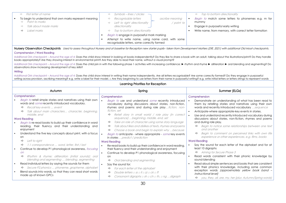| First letter of name<br>$\Rightarrow$                   | ⇨             | Symbols – lines / circles     —                                                                  |                 | Top to bottom directionality<br>$\Rightarrow$          |
|---------------------------------------------------------|---------------|--------------------------------------------------------------------------------------------------|-----------------|--------------------------------------------------------|
| To begin to understand that own marks represent meaning | $\Rightarrow$ | Recognisable letters                                                                             | ascribe meaning | Begin to match some letters to phonemes e.g. m for     |
| Point to marks                                          | $\Rightarrow$ | Left to right directionality                                                                     | / point to      | mummy                                                  |
| Talk about made marks                                   |               | directionality                                                                                   |                 | Engage in purposeful early writing                     |
| Label marks                                             | $\Rightarrow$ | Top to bottom directionality                                                                     |                 | Write name, from memory, with correct letter formation |
|                                                         |               | Begin to engage in purposeful mark marking                                                       |                 |                                                        |
|                                                         |               | Attempt to write name, using name card, with some<br>recognisable letters, some correctly formed |                 |                                                        |

Nursery Observation Checkpoints Used to assess throughout Nursery and at baseline for Reception new starter pupils-taken from Development Matters (DfE, 2021) with additional Old Moat checkpoints.

#### Comprehension / Word Reading

Additional OM checkpoint – Around the age of 4: Does the child show interest in looking at books independently? Do they like to share a book with an adult, talking about the illustrations/print? Do they handle books appropriately? Are they showing interest in environmental print? Are they able to read their name, without a visual prompt?

Additional OM checkpoint – Around the age of 4: Does the child join in with the following phase 1 activities with increasing confidence: ► rhythm and rhyme ► alliteration ► oral blending and segmenting? Do observations show increasing development of key skills?

#### **Writing**

Additional OM checkpoint – Around the age of 4: Does the child show interest in writing their name independently. Are all letters recognisable? Are some correctly formed? Do they engage in purposeful writing across provision, ascribing meaning? e.g. write a label for their model. □ Are they beginning to use letters from their name in purposeful writing? e.g. write initial letters or letters strings to represent words Learning Priorities for Reception

|                                                                                                                                                                                                                                                                                                                                                                                                                           | Learning Friorines for Reception                                                                                                                                                                                                                                                                                                                                                                                                                                                                           |                                                                                                                                                                                                                                                                                                                                                                                                                                         |
|---------------------------------------------------------------------------------------------------------------------------------------------------------------------------------------------------------------------------------------------------------------------------------------------------------------------------------------------------------------------------------------------------------------------------|------------------------------------------------------------------------------------------------------------------------------------------------------------------------------------------------------------------------------------------------------------------------------------------------------------------------------------------------------------------------------------------------------------------------------------------------------------------------------------------------------------|-----------------------------------------------------------------------------------------------------------------------------------------------------------------------------------------------------------------------------------------------------------------------------------------------------------------------------------------------------------------------------------------------------------------------------------------|
| Autumn                                                                                                                                                                                                                                                                                                                                                                                                                    | Spring                                                                                                                                                                                                                                                                                                                                                                                                                                                                                                     | Summer (ELGs)                                                                                                                                                                                                                                                                                                                                                                                                                           |
| Comprehension                                                                                                                                                                                                                                                                                                                                                                                                             | Comprehension                                                                                                                                                                                                                                                                                                                                                                                                                                                                                              | Comprehension                                                                                                                                                                                                                                                                                                                                                                                                                           |
| Begin to retell simple stories and narratives using their own<br>words and <i>some</i> recently introduced vocabulary.<br>Recall key events  event<br>$\Rightarrow$<br>Talk about main characters character, beginning,<br>⇨<br>middle, end                                                                                                                                                                               | Begin to use and understand some recently introduced<br>vocabulary during discussions about stories, non-fiction,<br>rhymes and poems and during role playfiction, non-<br>fiction, set<br>Retell story in small world / role play (in correct<br>⇨                                                                                                                                                                                                                                                        | Demonstrate an understanding of what has been read to<br>them by retelling stories and narratives using their own<br>words and recently introduced vocabulary sequence<br>Anticipate-where appropriate-key events in stories.                                                                                                                                                                                                           |
| <b>Word Reading</b>                                                                                                                                                                                                                                                                                                                                                                                                       | sequence)  beginning, middle, end, set                                                                                                                                                                                                                                                                                                                                                                                                                                                                     | Use and understand recently introduced vocabulary during<br>discussions about stories, non-fiction, rhymes and poems                                                                                                                                                                                                                                                                                                                    |
| Begin to re-read books to build up their confidence in word<br>reading, their fluency and their understanding and<br>enjoyment<br>Understand the five key concepts about print, with a focus<br>on<br>Left to right<br>⇨<br>1-1 correspondence  word, letter, first / last<br>⇨<br>Continue to develop P1 phonological awareness, focusing<br>$\overline{on}$<br>Rhythm & rhyme; alliteration (initial sounds); oral<br>⇨ | Take on role of character using some story language<br>⇨<br>Talk about likes and dislikes of texts, rhymes and poems<br>$\Rightarrow$<br>Choose a book and begin to explain why because<br>⇨<br>Begin to anticipate - where appropriate - some key events<br>in stories predict / prediction<br><b>Word Reading</b><br>Re-read books to build up their confidence in word reading,<br>their fluency and their understanding and enjoyment<br>Continue to develop P1 phonological awareness, focusing<br>on | and during role play.<br>Begin to notice some relationships between one text<br>⇨<br>and another<br>Begin to comment on perceived links with own life<br>$\Rightarrow$<br>experience or other experiences, e.g. films, books<br><b>Word Reading</b><br>Say the sound for each letter of the alphabet and for at<br>least 10 digraphs<br>$\Rightarrow$ Aiming for Secure Phase 3<br>Read words consistent with their phonic knowledge by |
| blending and segmenting  blending, segmenting<br>Read individual letters by saying the sounds for them<br>Secure P2 phonics  phoneme, grapheme, alphabet<br>⇨<br>Blend sounds into words, so that they can read short words<br>made up of known GPCs                                                                                                                                                                      | Oral blending and segmenting<br>⇨<br>Say the sound for:<br>$\blacksquare$<br>For each letter of the alphabet<br>⇨<br>Double letters $\pi$ ss $\pi$ II $\pi$ zz $\pi$ ck $\pi$ ff<br>$\Rightarrow$<br>⇨<br>Consonant digraphs $\Box$ sh $\Box$ ch $\Box$ th, $\Box$ ng  digraph                                                                                                                                                                                                                             | sound-blending<br>Read aloud simple sentences and books that are consistent<br>with their phonics knowledge, including some common<br>exception words (approximately yellow book band -<br><i>instructional level)</i><br>$\Rightarrow$ you, they, all, are, my, her (plus Autumn/Spring words)                                                                                                                                         |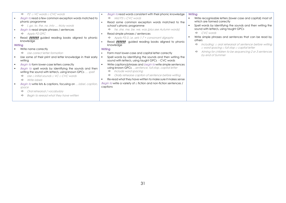| $P2 \Box VC$ words $\Box$ CVC words<br>$\Rightarrow$                                                                | Begin to read words consistent with their phonic knowledge<br>л.                                                          | Writing                                                     |
|---------------------------------------------------------------------------------------------------------------------|---------------------------------------------------------------------------------------------------------------------------|-------------------------------------------------------------|
| Begin to read a few common exception words matched to                                                               | $\Rightarrow$ Mid P3 $\exists$ CVC words                                                                                  | Write recognisable letters (lower case and capital) most of |
| phonic programme                                                                                                    | Read some common exception words matched to the                                                                           | which are formed correctly                                  |
| $\Rightarrow$ , go, to, the, no, into  tricky words                                                                 | school's phonic programme                                                                                                 | Spell words by identifying the sounds and then writing the  |
| <i>Begin to read simple phrases / sentences</i>                                                                     | $\Rightarrow$ he, she, me, be, we, was (plus see Autumn words)                                                            | sound with letter/s, using taught GPCs                      |
| $\Rightarrow$ Apply P2 GPC                                                                                          | Read simple phrases / sentences                                                                                           | $\Rightarrow$ CVC words                                     |
| Read <b>??????</b> guided reading books aligned to phonic                                                           | $\Rightarrow$ Apply P2-3, i.e. sets 1-7 + consonant digraphs                                                              | Write simple phrases and sentences that can be read by      |
| knowledge                                                                                                           | Read <b>??????</b> guided reading books aligned to phonic                                                                 | others                                                      |
| Writing                                                                                                             | knowledge                                                                                                                 | Including: $\Box$ oral rehearsal of sentence before writing |
| Write name correctly                                                                                                | Writing                                                                                                                   | $\Box$ word spacing $\Box$ full stop $\Box$ capital letter  |
| $\Rightarrow$ Use correct letter formation                                                                          | Form most lower-case and capital letter correctly                                                                         | Aiming for children to be sequencing 2 or 3 sentences       |
| Use some of their print and letter knowledge in their early                                                         | Spell words by identifying the sounds and then writing the<br>sound with letter/s, using taught GPCs - CVC words          | by end of Summer                                            |
| writing                                                                                                             |                                                                                                                           |                                                             |
| <b>Begin to form lower-case letters correctly</b>                                                                   | Write captions/phrases and <i>begin to</i> write simple sentences<br>using known GPCs sentence, full stop, capital letter |                                                             |
| Begin to spell words by identifying the sounds and then<br>writing the sound with letter/s, using known GPCs  spell | Include word spacing<br>⇨                                                                                                 |                                                             |
| Use $\Box$ initial sounds $\Box$ VC $\Box$ CVC words<br>$\Rightarrow$                                               | Orally rehearse caption of sentence before writing<br>⇨                                                                   |                                                             |
| <i>Write labels</i><br>$\Rightarrow$                                                                                | Re-read what they have written to make sure it makes sense                                                                |                                                             |
| Begin to write lists & captions, focusing on label, caption,                                                        | <i>Begin to</i> write a variety of $\Box$ fiction and non-fiction sentences /<br>captions                                 |                                                             |
| space<br>Oral rehearsal / vocabulary<br>⇨                                                                           |                                                                                                                           |                                                             |
| Begin to reread what they have written<br>⇨                                                                         |                                                                                                                           |                                                             |
|                                                                                                                     |                                                                                                                           |                                                             |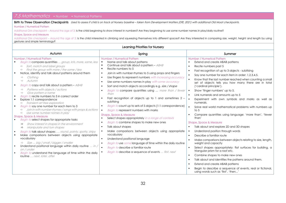<span id="page-31-0"></span>

| 7.5 Mathematics • Number • Numerical Patterns                                                                                                                                                                                                                                                                                                                                                                                                                                                                                                                                                                                                                                                                                                                                                                                                                                                                                                                                                                                                                                                                                                                                                                                                                                                                                                                                                          |                                                                                                                                                                                                                                                                                                                                                                                                                                                                                                                                                                                                                                                                                                                                                                                                                                                                                                                                                                                                                                                                                                                                                                                                                                                                           |                                                                                                                                                                                                                                                                                                                                                                                                                                                                                                                                                                                                                                                                                                                                                                                                                                                                                                                                                                                                                                                                                                                                                                                                                                                                                                                                                                                                                                                                                                                                  |
|--------------------------------------------------------------------------------------------------------------------------------------------------------------------------------------------------------------------------------------------------------------------------------------------------------------------------------------------------------------------------------------------------------------------------------------------------------------------------------------------------------------------------------------------------------------------------------------------------------------------------------------------------------------------------------------------------------------------------------------------------------------------------------------------------------------------------------------------------------------------------------------------------------------------------------------------------------------------------------------------------------------------------------------------------------------------------------------------------------------------------------------------------------------------------------------------------------------------------------------------------------------------------------------------------------------------------------------------------------------------------------------------------------|---------------------------------------------------------------------------------------------------------------------------------------------------------------------------------------------------------------------------------------------------------------------------------------------------------------------------------------------------------------------------------------------------------------------------------------------------------------------------------------------------------------------------------------------------------------------------------------------------------------------------------------------------------------------------------------------------------------------------------------------------------------------------------------------------------------------------------------------------------------------------------------------------------------------------------------------------------------------------------------------------------------------------------------------------------------------------------------------------------------------------------------------------------------------------------------------------------------------------------------------------------------------------|----------------------------------------------------------------------------------------------------------------------------------------------------------------------------------------------------------------------------------------------------------------------------------------------------------------------------------------------------------------------------------------------------------------------------------------------------------------------------------------------------------------------------------------------------------------------------------------------------------------------------------------------------------------------------------------------------------------------------------------------------------------------------------------------------------------------------------------------------------------------------------------------------------------------------------------------------------------------------------------------------------------------------------------------------------------------------------------------------------------------------------------------------------------------------------------------------------------------------------------------------------------------------------------------------------------------------------------------------------------------------------------------------------------------------------------------------------------------------------------------------------------------------------|
| <b>Number / Numerical Pattern</b><br><b>Shape, Space and Measure</b>                                                                                                                                                                                                                                                                                                                                                                                                                                                                                                                                                                                                                                                                                                                                                                                                                                                                                                                                                                                                                                                                                                                                                                                                                                                                                                                                   | Birth to Three Observation Checkpoints Used to assess if child is on track at Nursery baseline - taken from Development Matters (DfE, 2021) with additional Old Moat checkpoints.<br>Additional OM checkpoint - Around the age of 3: Is the child beginning to show interest in numbers? Are they beginning to use some number names in play/daily routine?<br>Additional OM checkpoint - Around the age of 3: Is the child interested in climbing and squeezing themselves into different spaces? Are they interested in comparing size, weight, height and length by using                                                                                                                                                                                                                                                                                                                                                                                                                                                                                                                                                                                                                                                                                              |                                                                                                                                                                                                                                                                                                                                                                                                                                                                                                                                                                                                                                                                                                                                                                                                                                                                                                                                                                                                                                                                                                                                                                                                                                                                                                                                                                                                                                                                                                                                  |
| gestures and simple terminology?                                                                                                                                                                                                                                                                                                                                                                                                                                                                                                                                                                                                                                                                                                                                                                                                                                                                                                                                                                                                                                                                                                                                                                                                                                                                                                                                                                       | <b>Learning Priorities for Nursery</b>                                                                                                                                                                                                                                                                                                                                                                                                                                                                                                                                                                                                                                                                                                                                                                                                                                                                                                                                                                                                                                                                                                                                                                                                                                    |                                                                                                                                                                                                                                                                                                                                                                                                                                                                                                                                                                                                                                                                                                                                                                                                                                                                                                                                                                                                                                                                                                                                                                                                                                                                                                                                                                                                                                                                                                                                  |
| Autumn                                                                                                                                                                                                                                                                                                                                                                                                                                                                                                                                                                                                                                                                                                                                                                                                                                                                                                                                                                                                                                                                                                                                                                                                                                                                                                                                                                                                 | Spring                                                                                                                                                                                                                                                                                                                                                                                                                                                                                                                                                                                                                                                                                                                                                                                                                                                                                                                                                                                                                                                                                                                                                                                                                                                                    | Summer                                                                                                                                                                                                                                                                                                                                                                                                                                                                                                                                                                                                                                                                                                                                                                                                                                                                                                                                                                                                                                                                                                                                                                                                                                                                                                                                                                                                                                                                                                                           |
| <b>Number / Numerical Pattern</b><br>$\blacksquare$<br>Begin to compare quantities  group, lots, more, same, less<br>$\Rightarrow$ Sort, match and label groups<br>$\Rightarrow$ Find the group with more / the same / less<br>Notice, identify and talk about patterns around them<br>$\blacksquare$<br>Clothing<br>$\Rightarrow$<br>Autumn<br>$\Rightarrow$<br>Begin to copy and talk about a pattern – ABAB<br>Patterns with objects / actions<br>$\Rightarrow$<br>Give pattern a name<br>$\Rightarrow$<br>Begin to recite numbers to 5 in correct order<br>Explore 1:1 correspondence<br>٠<br>$\Rightarrow$ Transient art free exploration<br><i>Begin to</i> say one number for each item to 3<br>٠<br>Join in with number rhymes / songs with props & actions<br>Use some number names in play<br>$\Rightarrow$<br><b>Shape, Space &amp; Measure</b><br><b>Begin to select shapes for appropriate tasks</b><br>$\blacksquare$<br>Show interest in shapes in the environment<br>$\Rightarrow$<br>Manipulate and turn shapes<br>$\Rightarrow$<br>Begin to talk about shapes  round, pointy, spotty, stripy<br>Make comparisons between objects using appropriate<br>٠<br>vocabulary<br>⇒ Size  big / small / bigger / smaller<br>Understand positional language within daily routine  in<br>on / under<br>Begin to understand the language of time within the daily<br>routine  next. later, after | <b>Number / Numerical Pattern</b><br>Name and talk about patterns<br>Continue and talk about a pattern - ABAB<br>$\blacksquare$<br>Recite numbers to 5<br>Join in with number rhymes to 5 using props and fingers<br>$\blacksquare$<br>Use fingers to represent numbers with increasing accuracy<br>$\blacksquare$<br>Use some numbers names in play with some accuracy<br>$\blacksquare$<br>Sort and match objects accordingly e.g. size / shape<br>$\blacksquare$<br>Begin to compare quantities using  more than / fewer<br>×<br>than<br>Fast recognition of objects up to 1 and sometimes 2 -<br>subitisina<br>Begin to count up to sets of 5 objects (1:1 correspondence)<br>$\blacksquare$<br><b>Begin to represent numbers with marks</b><br><b>Shape, Space &amp; Measure</b><br>Select shapes appropriately in a range of contexts<br><b>Begin to combine shapes to make new ones</b><br>×<br>Talk about shapes<br>$\blacksquare$<br>Make comparisons between objects using appropriate<br>vocabulary<br>Understand positional language<br>$\blacksquare$<br>Begin to use some language of time within the daily routine<br>$\blacksquare$<br>$\blacksquare$<br><b>Begin to describe a familiar route</b><br>Begin to describe a sequence of events  first, next | <b>Number / Numerical Pattern</b><br>Extend and create ABAB patterns<br>$\blacksquare$<br>Recite numbers past 5<br>$\blacksquare$<br>Fast recognition of up to 3 objects - subitising<br>$\blacksquare$<br>Say one number for each item in order: 1,2,3,4,5.<br>$\blacksquare$<br>$\blacksquare$<br>Know that the last number reached when counting a small<br>set of objects tells you how many there are in total<br>('cardinal principle').<br>Show 'finger numbers' up to 5.<br>$\blacksquare$<br>Link numerals and amounts up to 5<br>$\blacksquare$<br>$\blacksquare$<br>Experiment with own symbols and marks as well as<br>numerals.<br>$\blacksquare$<br>Solve real world mathematical problems with numbers up<br>to $5$<br>Compare quantities using language: 'more than', 'fewer<br>than'<br><b>Shape, Space &amp; Measure</b><br>Talk about and explore 2D and 3D shapes<br>$\blacksquare$<br>Understand position through words<br>$\blacksquare$<br>Describe a familiar route<br>$\blacksquare$<br>Make comparisons between objects relating to size, length,<br>$\blacksquare$<br>weight and capacity<br>Select shapes appropriately: flat surfaces for building, a<br>$\blacksquare$<br>triangular prism for a roof etc.<br>Combine shapes to make new ones<br>$\blacksquare$<br>Talk about and identifies the patterns around them.<br>$\blacksquare$<br>Extend and create ABAB patterns<br>$\blacksquare$<br>Begin to describe a sequence of events, real or fictional,<br>using words such as 'first', 'then' |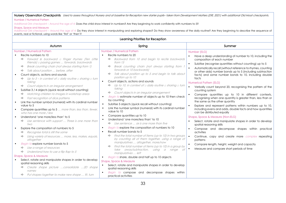#### Nursery Observation Checkpoints Used to assess throughout Nursery and at baseline for Reception new starter pupils- taken from Development Matters (DfE, 2021) with additional Old Moat checkpoints.

#### Number / Numerical Pattern

Additional OM checkpoint – Around the age of 4: Does the child show interest in numbers? Are they beginning to work confidently with numbers to 5?

#### Shape, Space and Measure

Additional OM checkpoint – Around the age of 4: Do they show interest in manipulating and exploring shapes? Do they show awareness of the daily routine? Are they beginning to describe the sequence of events, real or fictional, using words like 'first' or 'then'?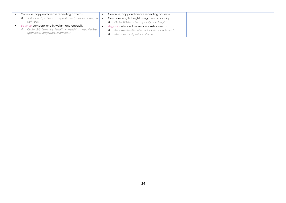| Continue, copy and create repeating patterns                         | Continue, copy and create repeating patterns                 |
|----------------------------------------------------------------------|--------------------------------------------------------------|
| Talk about pattern  repeat, next, before, after, in $ \bullet $<br>⇨ | Compare length, height, weight and capacity                  |
| between                                                              | $\Rightarrow$ Order 2-3 items by capacity and height         |
| <i>to</i> compare length, weight and capacity<br><b>Beain</b>        | <b>Begin to order and sequence familiar events</b>           |
| Order 2-3 items by length / weight  heavier/est,  <br>⇨              | Become familiar with a clock face and hands<br>$\Rightarrow$ |
| lighter/est, longer/est, shorter/est                                 | Measure short periods of time<br>⇨                           |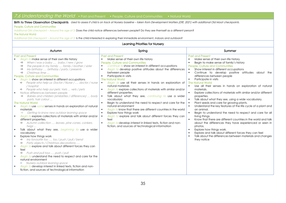### <span id="page-34-0"></span>7.6 Understanding the World • Past and Present • People, Culture and Communities • Natural World

Birth to Three Observation Checkpoints Used to assess if child is on track at Nursery baseline – taken from Development Matters (DfE, 2021) with additional Old Moat checkpoints.

#### People, Culture and Communities

Additional OM checkpoint – Around the age of 3: Does the child notice differences between people? Do they see themself as a different person?

#### The Natural World

Additional OM checkpoint – Around the age of 3: Is the child interested in exploring their immediate environment, indoors and outdoors?

| Learning Priorities for Nursery                                                                                                                                                                                                                                                                                                                                                                                                                                                                                                                                                                                                                                                                                                                                                                                                                                                                                                                                                                                                                                                                                                                                                                                                                                                                                                                                                                                                                                                                                                                                                                     |                                                                                                                                                                                                                                                                                                                                                                                                                                                                                                                                                                                                                                                                                                                                                                                                                                                                                                                                                                                                                   |                                                                                                                                                                                                                                                                                                                                                                                                                                                                                                                                                                                                                                                                                                                                                                                                                                                                                                                                                                                                                                                                                                                                                                                                                                     |  |  |
|-----------------------------------------------------------------------------------------------------------------------------------------------------------------------------------------------------------------------------------------------------------------------------------------------------------------------------------------------------------------------------------------------------------------------------------------------------------------------------------------------------------------------------------------------------------------------------------------------------------------------------------------------------------------------------------------------------------------------------------------------------------------------------------------------------------------------------------------------------------------------------------------------------------------------------------------------------------------------------------------------------------------------------------------------------------------------------------------------------------------------------------------------------------------------------------------------------------------------------------------------------------------------------------------------------------------------------------------------------------------------------------------------------------------------------------------------------------------------------------------------------------------------------------------------------------------------------------------------------|-------------------------------------------------------------------------------------------------------------------------------------------------------------------------------------------------------------------------------------------------------------------------------------------------------------------------------------------------------------------------------------------------------------------------------------------------------------------------------------------------------------------------------------------------------------------------------------------------------------------------------------------------------------------------------------------------------------------------------------------------------------------------------------------------------------------------------------------------------------------------------------------------------------------------------------------------------------------------------------------------------------------|-------------------------------------------------------------------------------------------------------------------------------------------------------------------------------------------------------------------------------------------------------------------------------------------------------------------------------------------------------------------------------------------------------------------------------------------------------------------------------------------------------------------------------------------------------------------------------------------------------------------------------------------------------------------------------------------------------------------------------------------------------------------------------------------------------------------------------------------------------------------------------------------------------------------------------------------------------------------------------------------------------------------------------------------------------------------------------------------------------------------------------------------------------------------------------------------------------------------------------------|--|--|
| Autumn                                                                                                                                                                                                                                                                                                                                                                                                                                                                                                                                                                                                                                                                                                                                                                                                                                                                                                                                                                                                                                                                                                                                                                                                                                                                                                                                                                                                                                                                                                                                                                                              | Spring                                                                                                                                                                                                                                                                                                                                                                                                                                                                                                                                                                                                                                                                                                                                                                                                                                                                                                                                                                                                            | Summer                                                                                                                                                                                                                                                                                                                                                                                                                                                                                                                                                                                                                                                                                                                                                                                                                                                                                                                                                                                                                                                                                                                                                                                                                              |  |  |
| <b>Past and Present</b><br>Begin to make sense of their own life history<br>$\blacksquare$<br>When I was a baby  baby / new / grow<br>⇨<br>The people in my family  family / brother / sister<br>⇨<br>My birthday  birthday / party / presents<br>⇨<br>Christmas time<br>$\Rightarrow$<br>People, Culture and Communities<br><b>Begin to show an interest in different occupations</b><br>$\blacksquare$<br>→ People who help us: Doctor / Nurse /  doctor / nurse<br>/ hospital<br>People who help our pets: Vets  vets / pets<br>Notice differences between people<br>Babies and children (similarities / differences)  body<br>parts, hair colour<br><b>The Natural World</b><br>Begin to use some senses in hands on exploration of natural<br>materials<br>Getting to know new outdoor learning space<br>$\Rightarrow$<br>Begin to explore collections of materials with similar and/or<br>different properties.<br>Autumn collection  leaves, pine cones, conkers,<br>⇨<br>twigs<br>Talk about what they see, beginning to use a wider<br>$\blacksquare$<br>vocabulary<br>Explore how things work<br>My favourite toy  toy / push / pull / bend<br>Party objects / Christmas decorations<br>⇨<br>Begin to explore and talk about different forces they can<br>$\blacksquare$<br>feel<br>Push and pull toys  push / pull<br>⇨<br><b>Begin to understand the need to respect and care for the</b><br>natural environment<br>Nursery outdoor learning space<br>$\Rightarrow$<br>Begin to develop interest in linked texts, fiction and non-<br>fiction, and sources of technological information | <b>Past and Present</b><br>Make sense of their own life history<br>$\blacksquare$<br>People, Culture and Communities<br>Continue to show an interest in different occupations<br>Begin to develop positive attitudes about the differences<br>between people<br>Participate in visits<br>$\blacksquare$<br><b>The Natural World</b><br>Begin to use all their senses in hands on exploration of<br>$\blacksquare$<br>natural materials<br>Begin to explore collections of materials with similar and/or<br>$\blacksquare$<br>different properties.<br>Talk about what they see, continuing to use a wider<br>vocabulary<br>Begin to understand the need to respect and care for the<br>natural environment<br>Begin to know that there are different countries in the world<br>Explore how things work<br>$\blacksquare$<br>Begin to explore and talk about different forces they can<br>feel<br>Begin to develop interest in linked texts, fiction and non-<br>fiction, and sources of technological information | <b>Past and Present</b><br>Make sense of their own life history<br>$\blacksquare$<br>Begin to make sense of family's history<br>$\blacksquare$<br><b>People, Culture and Communities</b><br>Show interest in different occupations<br>Continue to develop positive attitudes about<br>$\blacksquare$<br>the<br>differences between people<br>Participate in visits<br>$\blacksquare$<br><b>The Natural World</b><br>Use all their senses in hands on exploration of natural<br>$\blacksquare$<br>materials.<br>Explore collections of materials with similar and/or different<br>$\blacksquare$<br>properties.<br>Talk about what they see, using a wide vocabulary.<br>Plant seeds and care for growing plants.<br>Understand the key features of the life cycle of a plant and<br>$\bullet$<br>an animal.<br>Begin to understand the need to respect and care for all<br>$\blacksquare$<br>living things.<br>Know that there are different countries in the world and talk<br>about the differences they have experienced or seen in<br>photos.<br>Explore how things work.<br>$\blacksquare$<br>Explore and talk about different forces they can feel<br>Talk about the differences between materials and changes<br>they notice |  |  |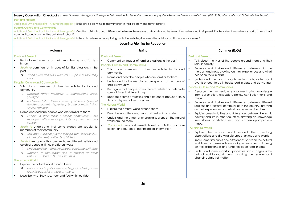| Nursery Observation Checkpoints Used to assess throughout Nursery and at baseline for Reception new starter pupils- taken from Development Matters (DfE, 2021) with additional Old Moat checkpoints.<br><b>Past and Present</b><br>Additional OM checkpoint – Around the age of 4: Is the child beginning to show interest in their life-story and family history?<br>People, Culture and Communities<br>Additional OM checkpoint – Around the age of 4: Can the child talk about difference between themselves and adults, and between themselves and their peers? Do they view themselves as part of their school<br>community, and communities outside of school?<br>Additional OM checkpoint - Around the age of 4: Is the child interested in exploring and differentiating between the outdoor and indoor environment?<br>Learning Priorities for Reception                                                                                                                 |                                                                                                                                                                                                                                                                                                                                                                                                                                                                                                                                                                                                                                                                                                                                                                                                                                                                                                                            |                                                                                                                                                                                                                                                                                                                                                                                                                                                                                                                                                                                                                                                                                                                                                                                                                                                                                                                                                                                                                                                                                                                                                                          |  |  |
|-----------------------------------------------------------------------------------------------------------------------------------------------------------------------------------------------------------------------------------------------------------------------------------------------------------------------------------------------------------------------------------------------------------------------------------------------------------------------------------------------------------------------------------------------------------------------------------------------------------------------------------------------------------------------------------------------------------------------------------------------------------------------------------------------------------------------------------------------------------------------------------------------------------------------------------------------------------------------------------|----------------------------------------------------------------------------------------------------------------------------------------------------------------------------------------------------------------------------------------------------------------------------------------------------------------------------------------------------------------------------------------------------------------------------------------------------------------------------------------------------------------------------------------------------------------------------------------------------------------------------------------------------------------------------------------------------------------------------------------------------------------------------------------------------------------------------------------------------------------------------------------------------------------------------|--------------------------------------------------------------------------------------------------------------------------------------------------------------------------------------------------------------------------------------------------------------------------------------------------------------------------------------------------------------------------------------------------------------------------------------------------------------------------------------------------------------------------------------------------------------------------------------------------------------------------------------------------------------------------------------------------------------------------------------------------------------------------------------------------------------------------------------------------------------------------------------------------------------------------------------------------------------------------------------------------------------------------------------------------------------------------------------------------------------------------------------------------------------------------|--|--|
| Autumn                                                                                                                                                                                                                                                                                                                                                                                                                                                                                                                                                                                                                                                                                                                                                                                                                                                                                                                                                                            | Spring                                                                                                                                                                                                                                                                                                                                                                                                                                                                                                                                                                                                                                                                                                                                                                                                                                                                                                                     | Summer (ELGs)                                                                                                                                                                                                                                                                                                                                                                                                                                                                                                                                                                                                                                                                                                                                                                                                                                                                                                                                                                                                                                                                                                                                                            |  |  |
| <b>Past and Present</b><br>Begin to make sense of their own life-story and family's<br>history<br>Begin to comment on images of familiar situations in the<br>past<br>⇨<br>When Mum and Dad were little  past, history, long<br>ago<br><b>People, Culture and Communities</b><br>Talk about members of their immediate family and<br>community<br>Describe family members  grandparent, older,<br>younger<br>Understand that there are many different types of<br>⇨<br>families parent, step-sister / brother / mum / dad,<br>similar, different<br>Name and describe people who are familiar to them<br>People in their local / school community site<br>manager, office manager, lolly pop person, shop<br>keeper<br>Begin to understand that some places are special to<br>members of their community<br>Talk about special places they go with their family<br>⇨<br>places of worship visited by children<br><b>Begin to recognise that people have different beliefs and</b> | <b>Past and Present</b><br>Comment on images of familiar situations in the past<br><b>People, Culture and Communities</b><br>Talk about members of their immediate family and<br>community<br>Name and describe people who are familiar to them<br>Understand that some places are special to members of<br>their community<br>Recognise that people have different beliefs and celebrate<br>special times in different ways<br>Recognise some similarities and differences between life in<br>this country and other countries<br><b>The Natural World</b><br>$\blacksquare$<br>Explore the natural world around them<br>$\blacksquare$<br>Describe what they see, hear and feel whilst outside<br>$\blacksquare$<br>Understand the effect of changing seasons on the natural<br>world around them<br>Continue to develop interest in linked texts, fiction and non-<br>fiction, and sources of technological information | <b>Past and Present</b><br>Talk about the lives of the people around them and their<br>roles in society<br>Know some similarities and differences between things in<br>the past and now, drawing on their experiences and what<br>has been read in class<br>Understand the past through settings, characters and<br>$\blacksquare$<br>events encountered in books read in class and storytelling.<br><b>People, Culture and Communities</b><br>Describe their immediate environment using knowledge<br>from observation, discussion, stories, non-fiction texts and<br>maps<br>Know some similarities and differences between different<br>religious and cultural communities in this country, drawing<br>on their experiences and what has been read in class<br>Explain some similarities and differences between life in this<br>country and life in other countries, drawing on knowledge<br>from stories, non-fiction texts and - when appropriate -<br>maps.<br><b>The Natural World</b><br>Explore the natural world around them, making<br>observations and drawing pictures of animals and plants<br>Know some similarities and differences between the natural |  |  |
| celebrate special times in different ways<br>Understand how different people celebrate birthdays<br>⇨<br>Develop a knowledge and awareness of other<br>⇨<br>festivals  Harvest, Diwali, Christmas<br><b>The Natural World</b><br>Explore the natural world around them<br>→ Leaves a sort by shape/size a begin to identify some<br>local tree species  nature, natural<br>Describe what they see, hear and feel whilst outside                                                                                                                                                                                                                                                                                                                                                                                                                                                                                                                                                   |                                                                                                                                                                                                                                                                                                                                                                                                                                                                                                                                                                                                                                                                                                                                                                                                                                                                                                                            | world around them and contrasting environments, drawing<br>on their experiences and what has been read in class<br>Understand some important processes and changes in the<br>natural world around them, including the seasons and<br>changing states of matter.                                                                                                                                                                                                                                                                                                                                                                                                                                                                                                                                                                                                                                                                                                                                                                                                                                                                                                          |  |  |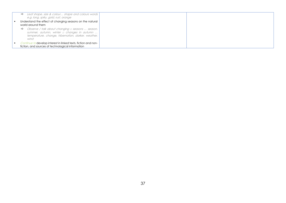| Leaf shape, size & colour shape and colours words<br>$\Rightarrow$<br>e.g. long, spiky, gold, rust, orange                                                        |
|-------------------------------------------------------------------------------------------------------------------------------------------------------------------|
| Understand the effect of changing seasons on the natural                                                                                                          |
| world around them                                                                                                                                                 |
| Observe / talk about changing a seasons  season,<br>⇨<br>summer, autumn, winter a changes in autumn<br>temperature, change, hibernation, darker, weather,<br>wind |
| • Continue to develop interest in linked texts, fiction and non-<br>fiction, and sources of technological information                                             |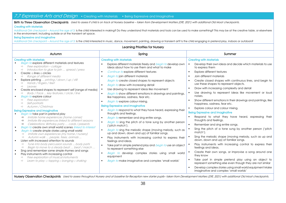### <span id="page-37-0"></span>7.7 Expressive Arts and Design • Creating with Materials • Being Expressive and Imaginative

Birth to Three Observation Checkpoints Used to assess if child is on track at Nursery baseline - taken from Development Matters (DfE, 2021) with additional Old Moat checkpoints.

#### Creating with Materials

Additional OM checkpoint – Around the age of 3: Is the child interested in making? Do they understand that materials and tools can be used to make something? This may be at the creative table, or elsewhere in the environment, including outside or at the transient art space.

#### Being Expressive and Imaginative

Additional OM checkpoint – Around the age of 3: Is the child interested In music, dance, movement, painting, drawing or transient art? Is the child engaging in pretend play, indoors or outdoors?

| <b>Learning Priorities for Nursery</b>                                                                                                                                                                                                                                                                                                                                                                                                                                                                                                                                                                                                                                                                                                                                                                                                                                                                                                                                                                                                                                                                                                                                                                                                                                                                                                                                                                                                                                                                                                                                                                                        |                                                                                                                                                                                                                                                                                                                                                                                                                                                                                                                                                                                                                                                                                                                                                                                                                                                                                                                                                                                                                                                                                                                                                                                                                                                                                                              |                                                                                                                                                                                                                                                                                                                                                                                                                                                                                                                                                                                                                                                                                                                                                                                                                                                                                                                                                                                                                                                                                                                                                                                                                                                                                                                                                                                                                                          |  |  |
|-------------------------------------------------------------------------------------------------------------------------------------------------------------------------------------------------------------------------------------------------------------------------------------------------------------------------------------------------------------------------------------------------------------------------------------------------------------------------------------------------------------------------------------------------------------------------------------------------------------------------------------------------------------------------------------------------------------------------------------------------------------------------------------------------------------------------------------------------------------------------------------------------------------------------------------------------------------------------------------------------------------------------------------------------------------------------------------------------------------------------------------------------------------------------------------------------------------------------------------------------------------------------------------------------------------------------------------------------------------------------------------------------------------------------------------------------------------------------------------------------------------------------------------------------------------------------------------------------------------------------------|--------------------------------------------------------------------------------------------------------------------------------------------------------------------------------------------------------------------------------------------------------------------------------------------------------------------------------------------------------------------------------------------------------------------------------------------------------------------------------------------------------------------------------------------------------------------------------------------------------------------------------------------------------------------------------------------------------------------------------------------------------------------------------------------------------------------------------------------------------------------------------------------------------------------------------------------------------------------------------------------------------------------------------------------------------------------------------------------------------------------------------------------------------------------------------------------------------------------------------------------------------------------------------------------------------------|------------------------------------------------------------------------------------------------------------------------------------------------------------------------------------------------------------------------------------------------------------------------------------------------------------------------------------------------------------------------------------------------------------------------------------------------------------------------------------------------------------------------------------------------------------------------------------------------------------------------------------------------------------------------------------------------------------------------------------------------------------------------------------------------------------------------------------------------------------------------------------------------------------------------------------------------------------------------------------------------------------------------------------------------------------------------------------------------------------------------------------------------------------------------------------------------------------------------------------------------------------------------------------------------------------------------------------------------------------------------------------------------------------------------------------------|--|--|
| Autumn                                                                                                                                                                                                                                                                                                                                                                                                                                                                                                                                                                                                                                                                                                                                                                                                                                                                                                                                                                                                                                                                                                                                                                                                                                                                                                                                                                                                                                                                                                                                                                                                                        | Spring                                                                                                                                                                                                                                                                                                                                                                                                                                                                                                                                                                                                                                                                                                                                                                                                                                                                                                                                                                                                                                                                                                                                                                                                                                                                                                       | Summer                                                                                                                                                                                                                                                                                                                                                                                                                                                                                                                                                                                                                                                                                                                                                                                                                                                                                                                                                                                                                                                                                                                                                                                                                                                                                                                                                                                                                                   |  |  |
| <b>Creating with Materials</b><br><b>Begin to explore different materials and textures</b><br>Free exploration - collage<br>$\Rightarrow$<br>Introduction to glue to join  spread / press<br>Create: $\Box$ lines $\Box$ circles<br>Range of different media<br>⇨<br>Explore printing  printing / down / up / still<br>Hands / fingers / feet<br>$\Rightarrow$<br>Leaves<br>$\Rightarrow$<br>Create enclosed shapes to represent self (range of media)<br>Body / Face  key features / circle / line<br>$\Rightarrow$<br><b>Begin to explore colour</b><br>$\blacksquare$<br>Free exploration<br>$\Rightarrow$<br>Self-portraits<br>Autumn / Christmas<br>$\Rightarrow$<br><b>Being Expressive and Imaginative</b><br><b>Begin to take part in pretend play</b><br>Imitate home experiences (home corner)<br>$\Rightarrow$<br>Imitate life experiences linked to different seasons<br>$\Rightarrow$<br>Celebrations: Birthday party  cards / presents<br>$\Rightarrow$<br>Begin to create own small world scenes linked to interest<br><b>Begin to create simple stories using small world</b><br>Imitate own experiences (my home / nursery)<br>$\Rightarrow$<br>Autumn walk  people, trees, animals<br>$\Rightarrow$<br>Listen with increased attention to sounds<br>Tune into body percussion sounds  body parts<br>$\Rightarrow$<br>Begin to move to a steady beat  beat / march<br>$\Rightarrow$<br>Sing and remember some simple rhymes and songs<br>Play instruments with increasing control<br>Free exploration of musical instruments<br>$\Rightarrow$<br>Learn to play: $\Box$ tapping $\Box$ banging $\Box$ shaking | <b>Creating with Materials</b><br>Explore different materials freely and <i>begin to</i> develop own<br>ideas about how to use them and what to make<br>Continue to explore different textures<br><b>Begin to join different materials</b><br><b>Begin to create closed shapes to represent objects</b><br><b>Begin to draw with increasing detail</b><br>Use drawing to represent ideas like movement<br>Begin to show different emotions in drawings and paintings,<br>like happiness, sadness, fear etc.<br><b>Begin to explore colour mixing.</b><br><b>Being Expressive and Imaginative</b><br><b>Begin to respond to what they have heard, expressing their</b><br>thoughts and feelings.<br><i>Begin to</i> remember and sing entire songs.<br>Begin to sing the pitch of a tone sung by another person<br>$\blacksquare$<br>('pitch match').<br><i>Begin to sing the melodic shape (moving melody, such as</i><br>up and down, down and up) of familiar songs.<br>Play instruments with increasing control to express their<br>$\blacksquare$<br>feelings and ideas.<br>Take part in simple pretend play and <i>begin to</i> use an object<br>to represent something else<br>Begin to develop complex stories using small world<br>equipment<br>Begin to make imaginative and complex 'small worlds' | <b>Creating with Materials</b><br>Develop their own ideas and decide which materials to use<br>$\blacksquare$<br>to express them<br>Explore different textures<br>$\blacksquare$<br>Join different materials<br>$\blacksquare$<br>Create closed shapes with continuous lines, and begin to<br>use these shapes to represent objects.<br>Draw with increasing complexity and detail<br>$\blacksquare$<br>Use drawing to represent ideas like movement or loud<br>noises.<br>Show different emotions in their drawings and paintings, like<br>happiness, sadness, fear etc.<br>Explore colour and colour mixing.<br>$\blacksquare$<br><b>Being Expressive and Imaginative</b><br>Respond to what they have heard, expressing their<br>$\blacksquare$<br>thoughts and feelings.<br>Remember and sing entire songs.<br>$\blacksquare$<br>Sing the pitch of a tone sung by another person ('pitch<br>match').<br>Sing the melodic shape (moving melody, such as up and<br>$\blacksquare$<br>down, down and up) of familiar songs.<br>Play instruments with increasing control to express their<br>٠<br>feelings and ideas.<br>Create their own songs, or improvise a song around one<br>they know<br>Take part in simple pretend play using an object to<br>represent something else even though they are not similar<br>Develop complex stories using small world equipment Make<br>$\blacksquare$<br>imaginative and complex 'small worlds' |  |  |

Nursery Observation Checkpoints Used to assess throughout Nursery and at baseline for Reception new starter pupils- taken from Development Matters (DfE, 2021) with additional Old Moat checkpoints.